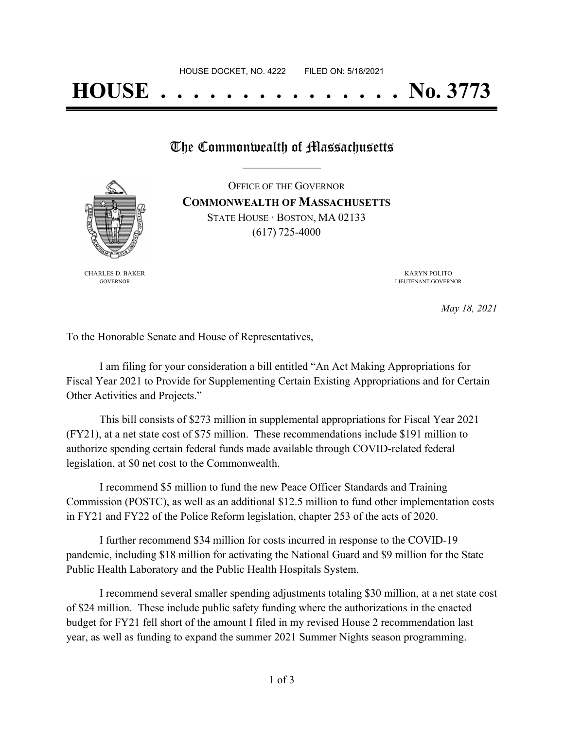# **HOUSE . . . . . . . . . . . . . . . No. 3773**

### The Commonwealth of Massachusetts

OFFICE OF THE GOVERNOR **COMMONWEALTH OF MASSACHUSETTS** STATE HOUSE · BOSTON, MA 02133



(617) 725-4000

CHARLES D. BAKER GOVERNOR

KARYN POLITO LIEUTENANT GOVERNOR

*May 18, 2021*

To the Honorable Senate and House of Representatives,

I am filing for your consideration a bill entitled "An Act Making Appropriations for Fiscal Year 2021 to Provide for Supplementing Certain Existing Appropriations and for Certain Other Activities and Projects."

This bill consists of \$273 million in supplemental appropriations for Fiscal Year 2021 (FY21), at a net state cost of \$75 million. These recommendations include \$191 million to authorize spending certain federal funds made available through COVID-related federal legislation, at \$0 net cost to the Commonwealth.

I recommend \$5 million to fund the new Peace Officer Standards and Training Commission (POSTC), as well as an additional \$12.5 million to fund other implementation costs in FY21 and FY22 of the Police Reform legislation, chapter 253 of the acts of 2020.

I further recommend \$34 million for costs incurred in response to the COVID-19 pandemic, including \$18 million for activating the National Guard and \$9 million for the State Public Health Laboratory and the Public Health Hospitals System.

I recommend several smaller spending adjustments totaling \$30 million, at a net state cost of \$24 million. These include public safety funding where the authorizations in the enacted budget for FY21 fell short of the amount I filed in my revised House 2 recommendation last year, as well as funding to expand the summer 2021 Summer Nights season programming.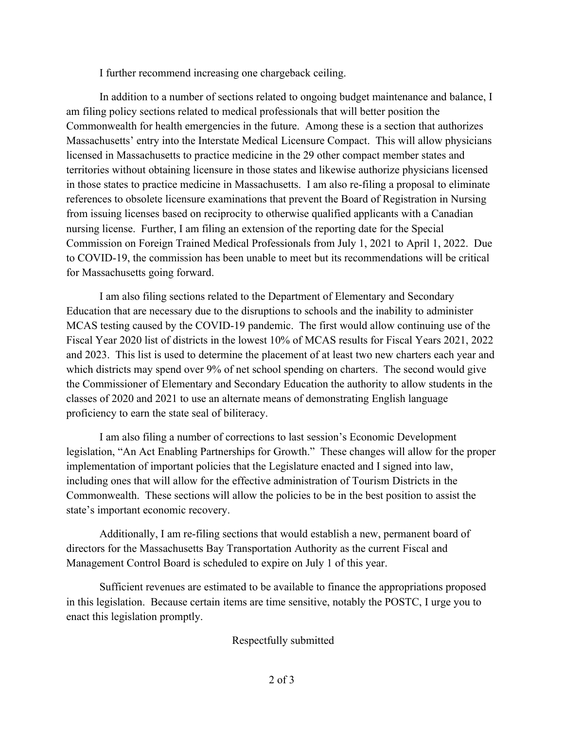I further recommend increasing one chargeback ceiling.

In addition to a number of sections related to ongoing budget maintenance and balance, I am filing policy sections related to medical professionals that will better position the Commonwealth for health emergencies in the future. Among these is a section that authorizes Massachusetts' entry into the Interstate Medical Licensure Compact. This will allow physicians licensed in Massachusetts to practice medicine in the 29 other compact member states and territories without obtaining licensure in those states and likewise authorize physicians licensed in those states to practice medicine in Massachusetts. I am also re-filing a proposal to eliminate references to obsolete licensure examinations that prevent the Board of Registration in Nursing from issuing licenses based on reciprocity to otherwise qualified applicants with a Canadian nursing license. Further, I am filing an extension of the reporting date for the Special Commission on Foreign Trained Medical Professionals from July 1, 2021 to April 1, 2022. Due to COVID-19, the commission has been unable to meet but its recommendations will be critical for Massachusetts going forward.

I am also filing sections related to the Department of Elementary and Secondary Education that are necessary due to the disruptions to schools and the inability to administer MCAS testing caused by the COVID-19 pandemic. The first would allow continuing use of the Fiscal Year 2020 list of districts in the lowest 10% of MCAS results for Fiscal Years 2021, 2022 and 2023. This list is used to determine the placement of at least two new charters each year and which districts may spend over 9% of net school spending on charters. The second would give the Commissioner of Elementary and Secondary Education the authority to allow students in the classes of 2020 and 2021 to use an alternate means of demonstrating English language proficiency to earn the state seal of biliteracy.

I am also filing a number of corrections to last session's Economic Development legislation, "An Act Enabling Partnerships for Growth." These changes will allow for the proper implementation of important policies that the Legislature enacted and I signed into law, including ones that will allow for the effective administration of Tourism Districts in the Commonwealth. These sections will allow the policies to be in the best position to assist the state's important economic recovery.

Additionally, I am re-filing sections that would establish a new, permanent board of directors for the Massachusetts Bay Transportation Authority as the current Fiscal and Management Control Board is scheduled to expire on July 1 of this year.

Sufficient revenues are estimated to be available to finance the appropriations proposed in this legislation. Because certain items are time sensitive, notably the POSTC, I urge you to enact this legislation promptly.

Respectfully submitted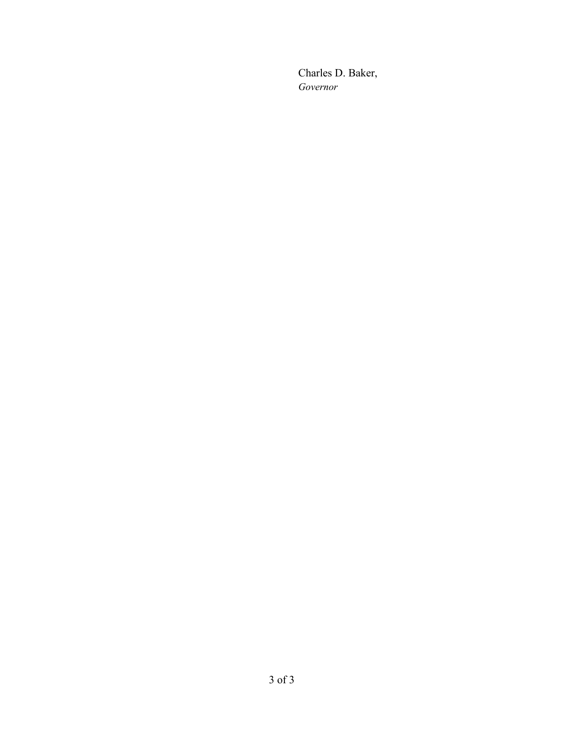Charles D. Baker, *Governor*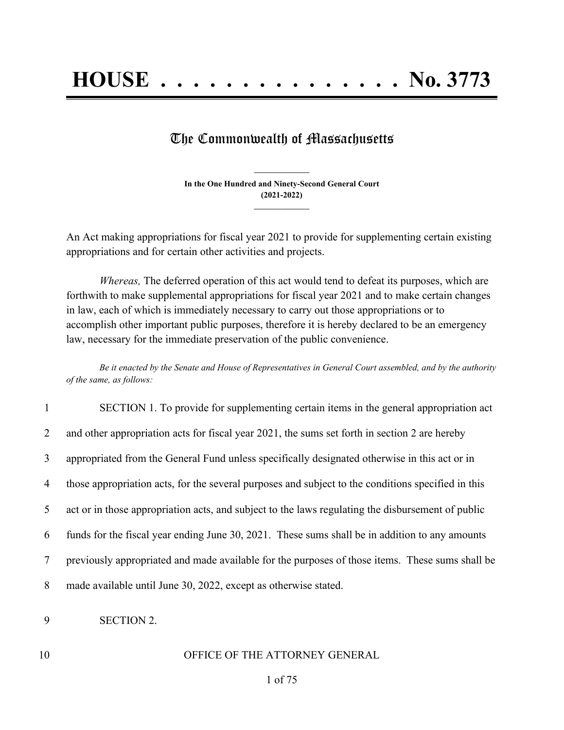## The Commonwealth of Massachusetts

**In the One Hundred and Ninety-Second General Court (2021-2022) \_\_\_\_\_\_\_\_\_\_\_\_\_\_\_**

**\_\_\_\_\_\_\_\_\_\_\_\_\_\_\_**

An Act making appropriations for fiscal year 2021 to provide for supplementing certain existing appropriations and for certain other activities and projects.

*Whereas,* The deferred operation of this act would tend to defeat its purposes, which are forthwith to make supplemental appropriations for fiscal year 2021 and to make certain changes in law, each of which is immediately necessary to carry out those appropriations or to accomplish other important public purposes, therefore it is hereby declared to be an emergency law, necessary for the immediate preservation of the public convenience.

Be it enacted by the Senate and House of Representatives in General Court assembled, and by the authority *of the same, as follows:*

| $\mathbf{1}$   | SECTION 1. To provide for supplementing certain items in the general appropriation act             |
|----------------|----------------------------------------------------------------------------------------------------|
| $\overline{2}$ | and other appropriation acts for fiscal year 2021, the sums set forth in section 2 are hereby      |
| 3              | appropriated from the General Fund unless specifically designated otherwise in this act or in      |
| $\overline{4}$ | those appropriation acts, for the several purposes and subject to the conditions specified in this |
| 5 <sup>5</sup> | act or in those appropriation acts, and subject to the laws regulating the disbursement of public  |
| 6              | funds for the fiscal year ending June 30, 2021. These sums shall be in addition to any amounts     |
| $\tau$         | previously appropriated and made available for the purposes of those items. These sums shall be    |
| 8              | made available until June 30, 2022, except as otherwise stated.                                    |

- 9 SECTION 2.
- 

#### 10 OFFICE OF THE ATTORNEY GENERAL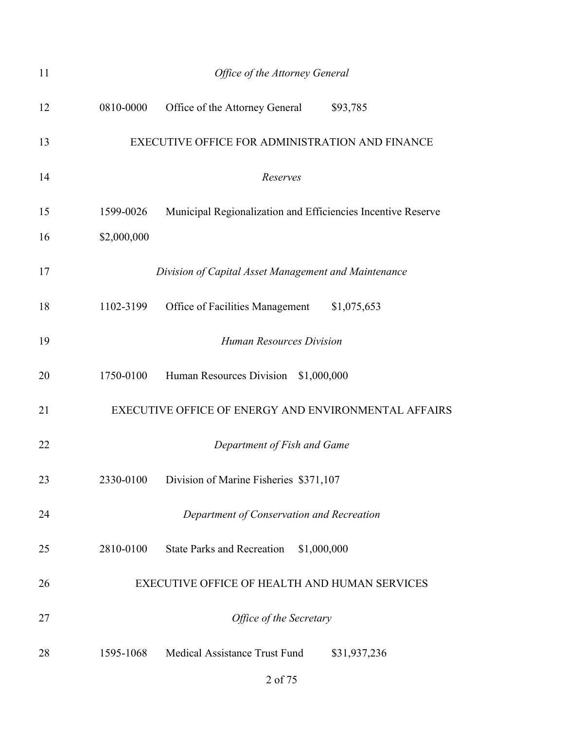| 11 | Office of the Attorney General                                            |  |  |
|----|---------------------------------------------------------------------------|--|--|
| 12 | 0810-0000<br>Office of the Attorney General<br>\$93,785                   |  |  |
| 13 | EXECUTIVE OFFICE FOR ADMINISTRATION AND FINANCE                           |  |  |
| 14 | Reserves                                                                  |  |  |
| 15 | 1599-0026<br>Municipal Regionalization and Efficiencies Incentive Reserve |  |  |
| 16 | \$2,000,000                                                               |  |  |
| 17 | Division of Capital Asset Management and Maintenance                      |  |  |
| 18 | 1102-3199<br>Office of Facilities Management<br>\$1,075,653               |  |  |
| 19 | <b>Human Resources Division</b>                                           |  |  |
| 20 | 1750-0100<br>Human Resources Division \$1,000,000                         |  |  |
| 21 | EXECUTIVE OFFICE OF ENERGY AND ENVIRONMENTAL AFFAIRS                      |  |  |
| 22 | Department of Fish and Game                                               |  |  |
| 23 | Division of Marine Fisheries \$371,107<br>2330-0100                       |  |  |
| 24 | Department of Conservation and Recreation                                 |  |  |
| 25 | 2810-0100<br><b>State Parks and Recreation</b><br>\$1,000,000             |  |  |
| 26 | EXECUTIVE OFFICE OF HEALTH AND HUMAN SERVICES                             |  |  |
| 27 | Office of the Secretary                                                   |  |  |
| 28 | 1595-1068 Medical Assistance Trust Fund<br>\$31,937,236                   |  |  |
|    | 2 of 75                                                                   |  |  |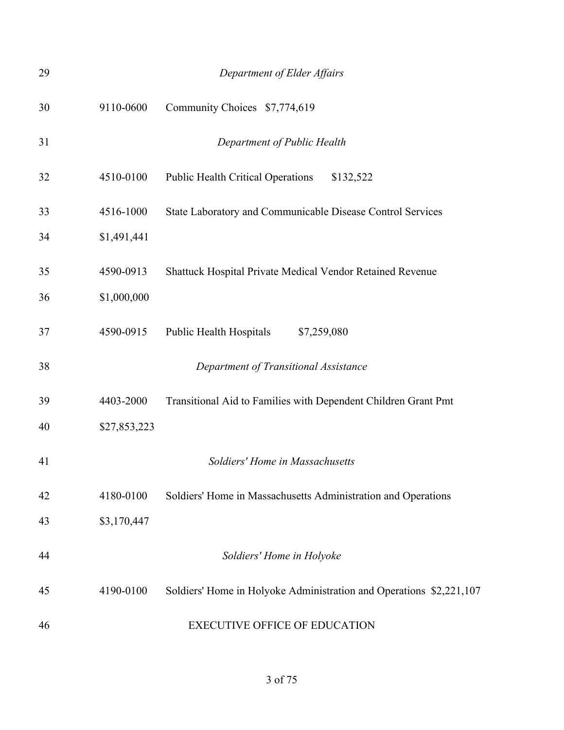| 29 |              | Department of Elder Affairs                                         |
|----|--------------|---------------------------------------------------------------------|
| 30 | 9110-0600    | Community Choices \$7,774,619                                       |
| 31 |              | Department of Public Health                                         |
| 32 | 4510-0100    | <b>Public Health Critical Operations</b><br>\$132,522               |
| 33 | 4516-1000    | State Laboratory and Communicable Disease Control Services          |
| 34 | \$1,491,441  |                                                                     |
| 35 | 4590-0913    | Shattuck Hospital Private Medical Vendor Retained Revenue           |
| 36 | \$1,000,000  |                                                                     |
| 37 | 4590-0915    | Public Health Hospitals<br>\$7,259,080                              |
| 38 |              | Department of Transitional Assistance                               |
| 39 | 4403-2000    | Transitional Aid to Families with Dependent Children Grant Pmt      |
| 40 | \$27,853,223 |                                                                     |
| 41 |              | Soldiers' Home in Massachusetts                                     |
| 42 | 4180-0100    | Soldiers' Home in Massachusetts Administration and Operations       |
| 43 | \$3,170,447  |                                                                     |
| 44 |              | Soldiers' Home in Holyoke                                           |
| 45 | 4190-0100    | Soldiers' Home in Holyoke Administration and Operations \$2,221,107 |
| 46 |              | <b>EXECUTIVE OFFICE OF EDUCATION</b>                                |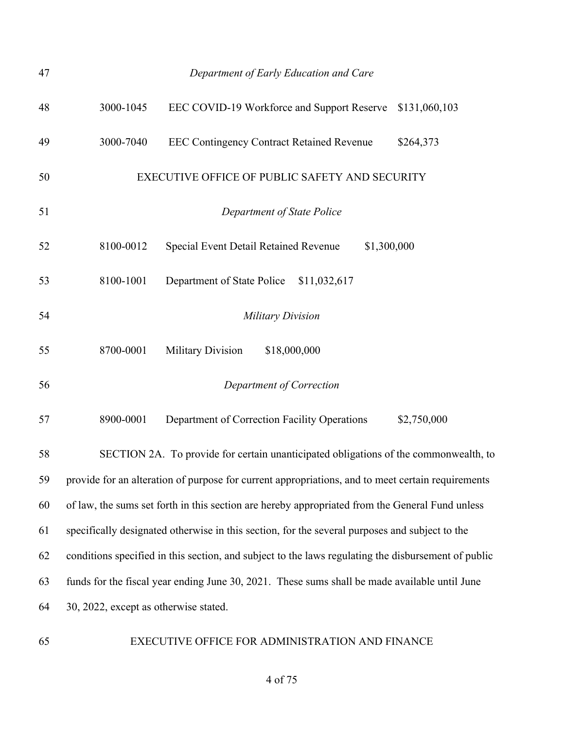| 47 |                                       | Department of Early Education and Care                                                              |              |             |               |
|----|---------------------------------------|-----------------------------------------------------------------------------------------------------|--------------|-------------|---------------|
| 48 | 3000-1045                             | EEC COVID-19 Workforce and Support Reserve                                                          |              |             | \$131,060,103 |
| 49 | 3000-7040                             | <b>EEC Contingency Contract Retained Revenue</b>                                                    |              |             | \$264,373     |
| 50 |                                       | EXECUTIVE OFFICE OF PUBLIC SAFETY AND SECURITY                                                      |              |             |               |
| 51 |                                       | Department of State Police                                                                          |              |             |               |
| 52 | 8100-0012                             | Special Event Detail Retained Revenue                                                               |              | \$1,300,000 |               |
| 53 | 8100-1001                             | Department of State Police                                                                          | \$11,032,617 |             |               |
| 54 |                                       | <b>Military Division</b>                                                                            |              |             |               |
| 55 | 8700-0001                             | <b>Military Division</b>                                                                            | \$18,000,000 |             |               |
| 56 |                                       | Department of Correction                                                                            |              |             |               |
| 57 | 8900-0001                             | Department of Correction Facility Operations                                                        |              |             | \$2,750,000   |
| 58 |                                       | SECTION 2A. To provide for certain unanticipated obligations of the commonwealth, to                |              |             |               |
| 59 |                                       | provide for an alteration of purpose for current appropriations, and to meet certain requirements   |              |             |               |
| 60 |                                       | of law, the sums set forth in this section are hereby appropriated from the General Fund unless     |              |             |               |
| 61 |                                       | specifically designated otherwise in this section, for the several purposes and subject to the      |              |             |               |
| 62 |                                       | conditions specified in this section, and subject to the laws regulating the disbursement of public |              |             |               |
| 63 |                                       | funds for the fiscal year ending June 30, 2021. These sums shall be made available until June       |              |             |               |
| 64 | 30, 2022, except as otherwise stated. |                                                                                                     |              |             |               |
|    |                                       |                                                                                                     |              |             |               |

EXECUTIVE OFFICE FOR ADMINISTRATION AND FINANCE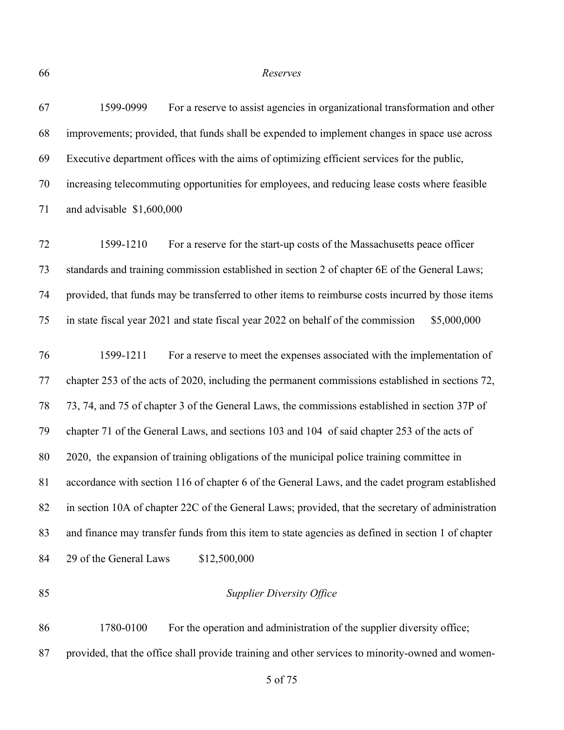*Reserves*

| 67 | For a reserve to assist agencies in organizational transformation and other<br>1599-0999           |
|----|----------------------------------------------------------------------------------------------------|
| 68 | improvements; provided, that funds shall be expended to implement changes in space use across      |
| 69 | Executive department offices with the aims of optimizing efficient services for the public,        |
| 70 | increasing telecommuting opportunities for employees, and reducing lease costs where feasible      |
| 71 | and advisable \$1,600,000                                                                          |
| 72 | For a reserve for the start-up costs of the Massachusetts peace officer<br>1599-1210               |
| 73 | standards and training commission established in section 2 of chapter 6E of the General Laws;      |
| 74 | provided, that funds may be transferred to other items to reimburse costs incurred by those items  |
| 75 | in state fiscal year 2021 and state fiscal year 2022 on behalf of the commission<br>\$5,000,000    |
| 76 | For a reserve to meet the expenses associated with the implementation of<br>1599-1211              |
| 77 | chapter 253 of the acts of 2020, including the permanent commissions established in sections 72,   |
| 78 | 73, 74, and 75 of chapter 3 of the General Laws, the commissions established in section 37P of     |
| 79 | chapter 71 of the General Laws, and sections 103 and 104 of said chapter 253 of the acts of        |
| 80 | 2020, the expansion of training obligations of the municipal police training committee in          |
| 81 | accordance with section 116 of chapter 6 of the General Laws, and the cadet program established    |
| 82 | in section 10A of chapter 22C of the General Laws; provided, that the secretary of administration  |
| 83 | and finance may transfer funds from this item to state agencies as defined in section 1 of chapter |
| 84 | 29 of the General Laws<br>\$12,500,000                                                             |
|    |                                                                                                    |

#### *Supplier Diversity Office*

 1780-0100 For the operation and administration of the supplier diversity office; provided, that the office shall provide training and other services to minority-owned and women-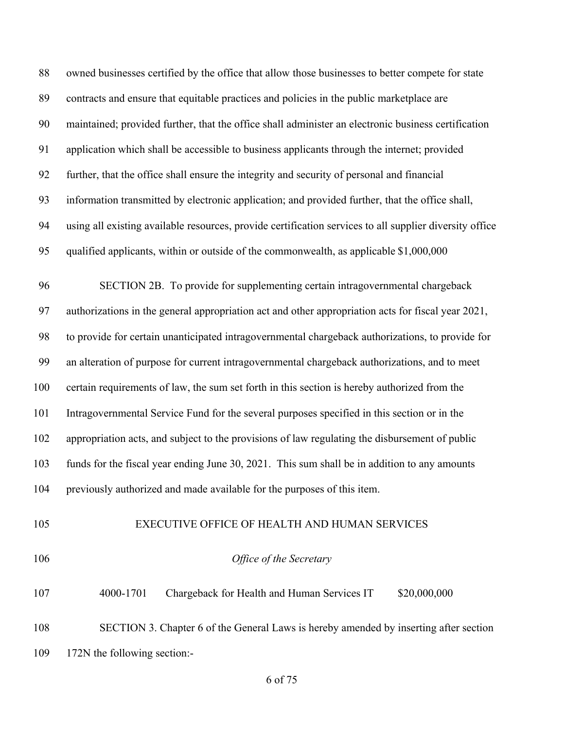owned businesses certified by the office that allow those businesses to better compete for state contracts and ensure that equitable practices and policies in the public marketplace are maintained; provided further, that the office shall administer an electronic business certification application which shall be accessible to business applicants through the internet; provided further, that the office shall ensure the integrity and security of personal and financial information transmitted by electronic application; and provided further, that the office shall, using all existing available resources, provide certification services to all supplier diversity office qualified applicants, within or outside of the commonwealth, as applicable \$1,000,000 SECTION 2B. To provide for supplementing certain intragovernmental chargeback authorizations in the general appropriation act and other appropriation acts for fiscal year 2021, to provide for certain unanticipated intragovernmental chargeback authorizations, to provide for an alteration of purpose for current intragovernmental chargeback authorizations, and to meet certain requirements of law, the sum set forth in this section is hereby authorized from the Intragovernmental Service Fund for the several purposes specified in this section or in the appropriation acts, and subject to the provisions of law regulating the disbursement of public funds for the fiscal year ending June 30, 2021. This sum shall be in addition to any amounts previously authorized and made available for the purposes of this item. EXECUTIVE OFFICE OF HEALTH AND HUMAN SERVICES *Office of the Secretary*

107 4000-1701 Chargeback for Health and Human Services IT \$20,000,000 SECTION 3. Chapter 6 of the General Laws is hereby amended by inserting after section 172N the following section:-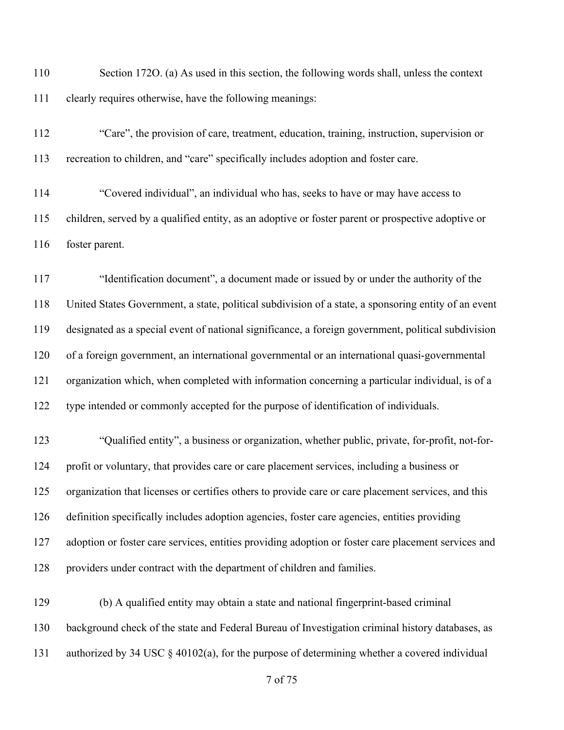Section 172O. (a) As used in this section, the following words shall, unless the context clearly requires otherwise, have the following meanings:

 "Care", the provision of care, treatment, education, training, instruction, supervision or recreation to children, and "care" specifically includes adoption and foster care.

 "Covered individual", an individual who has, seeks to have or may have access to children, served by a qualified entity, as an adoptive or foster parent or prospective adoptive or foster parent.

 "Identification document", a document made or issued by or under the authority of the United States Government, a state, political subdivision of a state, a sponsoring entity of an event designated as a special event of national significance, a foreign government, political subdivision of a foreign government, an international governmental or an international quasi-governmental organization which, when completed with information concerning a particular individual, is of a type intended or commonly accepted for the purpose of identification of individuals.

 "Qualified entity", a business or organization, whether public, private, for-profit, not-for- profit or voluntary, that provides care or care placement services, including a business or organization that licenses or certifies others to provide care or care placement services, and this definition specifically includes adoption agencies, foster care agencies, entities providing adoption or foster care services, entities providing adoption or foster care placement services and providers under contract with the department of children and families.

 (b) A qualified entity may obtain a state and national fingerprint-based criminal background check of the state and Federal Bureau of Investigation criminal history databases, as authorized by 34 USC § 40102(a), for the purpose of determining whether a covered individual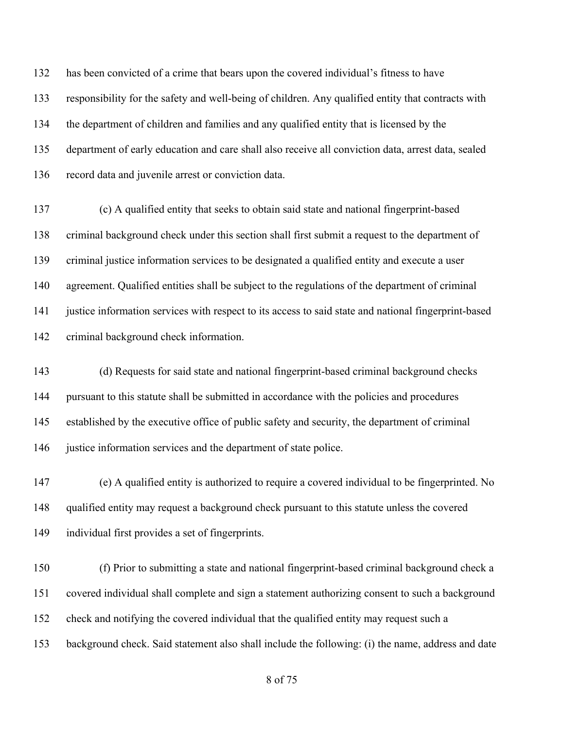has been convicted of a crime that bears upon the covered individual's fitness to have responsibility for the safety and well-being of children. Any qualified entity that contracts with the department of children and families and any qualified entity that is licensed by the department of early education and care shall also receive all conviction data, arrest data, sealed record data and juvenile arrest or conviction data.

 (c) A qualified entity that seeks to obtain said state and national fingerprint-based criminal background check under this section shall first submit a request to the department of criminal justice information services to be designated a qualified entity and execute a user agreement. Qualified entities shall be subject to the regulations of the department of criminal justice information services with respect to its access to said state and national fingerprint-based criminal background check information.

 (d) Requests for said state and national fingerprint-based criminal background checks pursuant to this statute shall be submitted in accordance with the policies and procedures established by the executive office of public safety and security, the department of criminal 146 justice information services and the department of state police.

 (e) A qualified entity is authorized to require a covered individual to be fingerprinted. No qualified entity may request a background check pursuant to this statute unless the covered individual first provides a set of fingerprints.

 (f) Prior to submitting a state and national fingerprint-based criminal background check a covered individual shall complete and sign a statement authorizing consent to such a background check and notifying the covered individual that the qualified entity may request such a background check. Said statement also shall include the following: (i) the name, address and date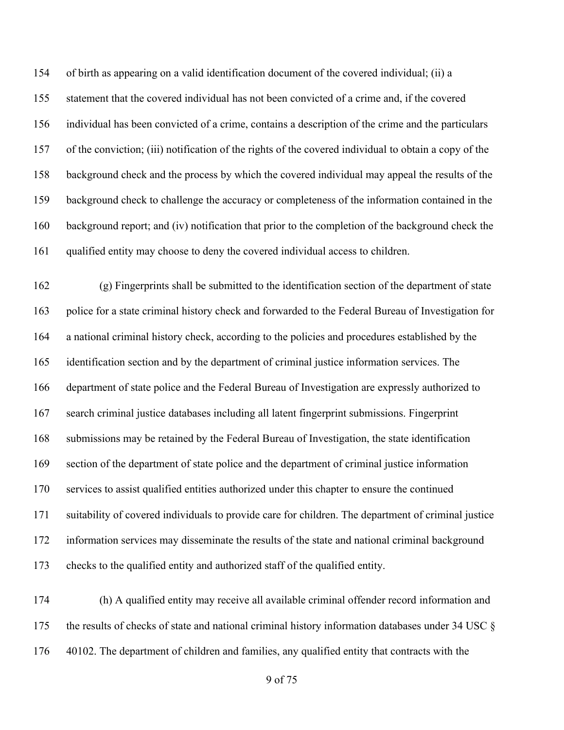of birth as appearing on a valid identification document of the covered individual; (ii) a statement that the covered individual has not been convicted of a crime and, if the covered individual has been convicted of a crime, contains a description of the crime and the particulars of the conviction; (iii) notification of the rights of the covered individual to obtain a copy of the background check and the process by which the covered individual may appeal the results of the background check to challenge the accuracy or completeness of the information contained in the background report; and (iv) notification that prior to the completion of the background check the qualified entity may choose to deny the covered individual access to children.

 (g) Fingerprints shall be submitted to the identification section of the department of state police for a state criminal history check and forwarded to the Federal Bureau of Investigation for a national criminal history check, according to the policies and procedures established by the identification section and by the department of criminal justice information services. The department of state police and the Federal Bureau of Investigation are expressly authorized to search criminal justice databases including all latent fingerprint submissions. Fingerprint submissions may be retained by the Federal Bureau of Investigation, the state identification section of the department of state police and the department of criminal justice information services to assist qualified entities authorized under this chapter to ensure the continued suitability of covered individuals to provide care for children. The department of criminal justice information services may disseminate the results of the state and national criminal background checks to the qualified entity and authorized staff of the qualified entity.

 (h) A qualified entity may receive all available criminal offender record information and the results of checks of state and national criminal history information databases under 34 USC § 40102. The department of children and families, any qualified entity that contracts with the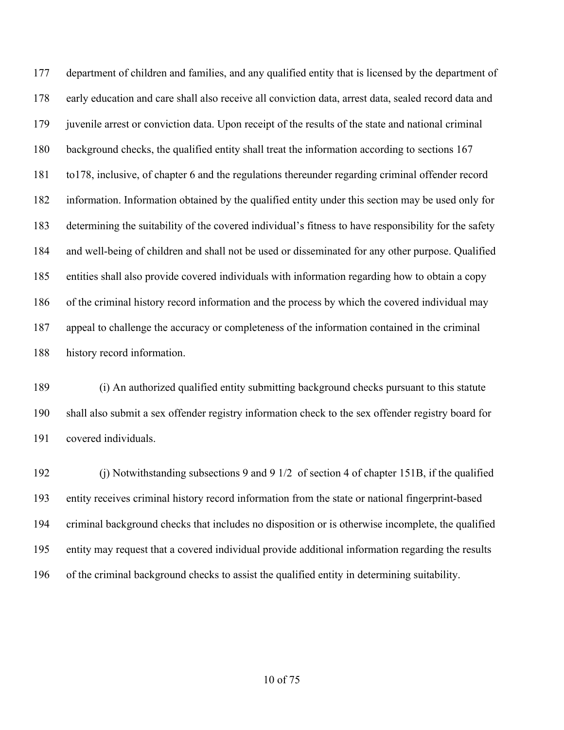department of children and families, and any qualified entity that is licensed by the department of early education and care shall also receive all conviction data, arrest data, sealed record data and juvenile arrest or conviction data. Upon receipt of the results of the state and national criminal background checks, the qualified entity shall treat the information according to sections 167 to178, inclusive, of chapter 6 and the regulations thereunder regarding criminal offender record information. Information obtained by the qualified entity under this section may be used only for determining the suitability of the covered individual's fitness to have responsibility for the safety and well-being of children and shall not be used or disseminated for any other purpose. Qualified entities shall also provide covered individuals with information regarding how to obtain a copy of the criminal history record information and the process by which the covered individual may appeal to challenge the accuracy or completeness of the information contained in the criminal history record information.

 (i) An authorized qualified entity submitting background checks pursuant to this statute shall also submit a sex offender registry information check to the sex offender registry board for covered individuals.

 (j) Notwithstanding subsections 9 and 9 1/2 of section 4 of chapter 151B, if the qualified entity receives criminal history record information from the state or national fingerprint-based criminal background checks that includes no disposition or is otherwise incomplete, the qualified entity may request that a covered individual provide additional information regarding the results of the criminal background checks to assist the qualified entity in determining suitability.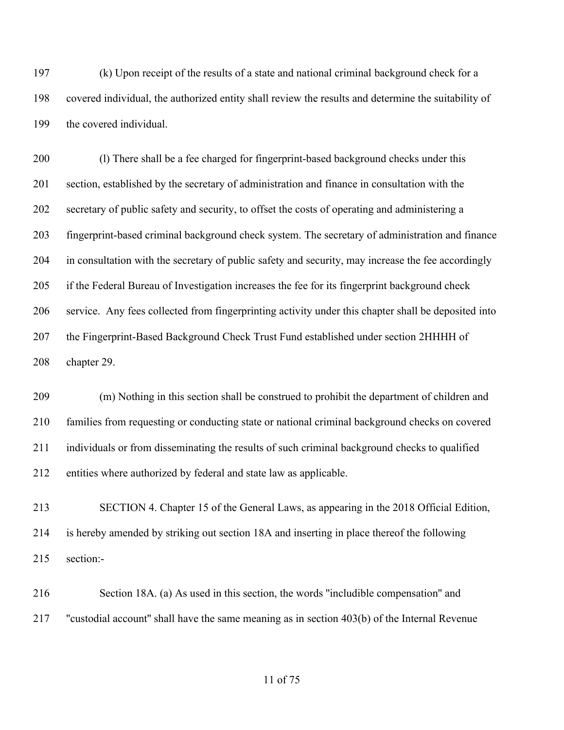(k) Upon receipt of the results of a state and national criminal background check for a covered individual, the authorized entity shall review the results and determine the suitability of the covered individual.

200 (l) There shall be a fee charged for fingerprint-based background checks under this section, established by the secretary of administration and finance in consultation with the secretary of public safety and security, to offset the costs of operating and administering a fingerprint-based criminal background check system. The secretary of administration and finance in consultation with the secretary of public safety and security, may increase the fee accordingly if the Federal Bureau of Investigation increases the fee for its fingerprint background check service. Any fees collected from fingerprinting activity under this chapter shall be deposited into 207 the Fingerprint-Based Background Check Trust Fund established under section 2HHHH of chapter 29.

 (m) Nothing in this section shall be construed to prohibit the department of children and families from requesting or conducting state or national criminal background checks on covered individuals or from disseminating the results of such criminal background checks to qualified entities where authorized by federal and state law as applicable.

 SECTION 4. Chapter 15 of the General Laws, as appearing in the 2018 Official Edition, is hereby amended by striking out section 18A and inserting in place thereof the following section:-

 Section 18A. (a) As used in this section, the words ''includible compensation'' and ''custodial account'' shall have the same meaning as in section 403(b) of the Internal Revenue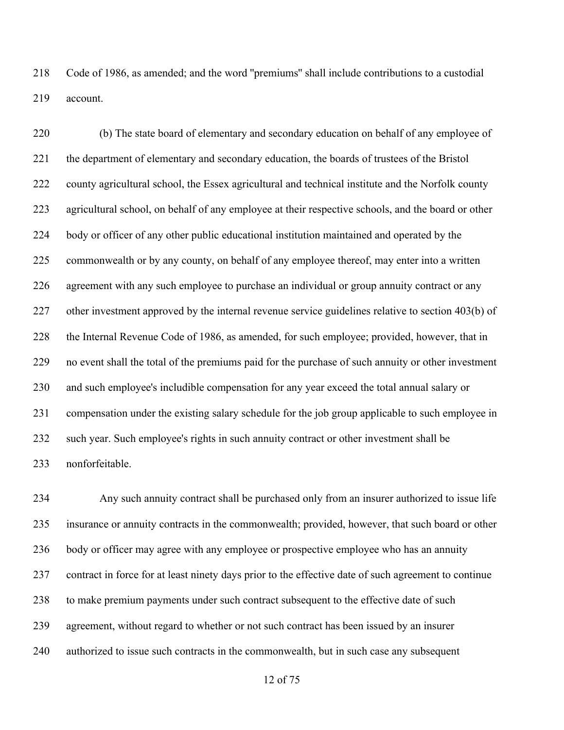Code of 1986, as amended; and the word ''premiums'' shall include contributions to a custodial account.

 (b) The state board of elementary and secondary education on behalf of any employee of the department of elementary and secondary education, the boards of trustees of the Bristol county agricultural school, the Essex agricultural and technical institute and the Norfolk county agricultural school, on behalf of any employee at their respective schools, and the board or other body or officer of any other public educational institution maintained and operated by the 225 commonwealth or by any county, on behalf of any employee thereof, may enter into a written agreement with any such employee to purchase an individual or group annuity contract or any other investment approved by the internal revenue service guidelines relative to section 403(b) of the Internal Revenue Code of 1986, as amended, for such employee; provided, however, that in no event shall the total of the premiums paid for the purchase of such annuity or other investment and such employee's includible compensation for any year exceed the total annual salary or compensation under the existing salary schedule for the job group applicable to such employee in such year. Such employee's rights in such annuity contract or other investment shall be nonforfeitable.

 Any such annuity contract shall be purchased only from an insurer authorized to issue life insurance or annuity contracts in the commonwealth; provided, however, that such board or other body or officer may agree with any employee or prospective employee who has an annuity contract in force for at least ninety days prior to the effective date of such agreement to continue to make premium payments under such contract subsequent to the effective date of such agreement, without regard to whether or not such contract has been issued by an insurer authorized to issue such contracts in the commonwealth, but in such case any subsequent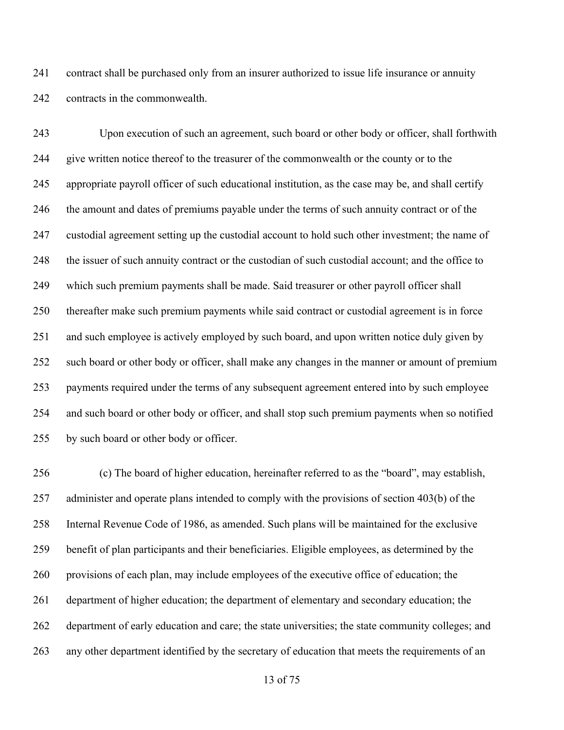contract shall be purchased only from an insurer authorized to issue life insurance or annuity contracts in the commonwealth.

 Upon execution of such an agreement, such board or other body or officer, shall forthwith give written notice thereof to the treasurer of the commonwealth or the county or to the appropriate payroll officer of such educational institution, as the case may be, and shall certify the amount and dates of premiums payable under the terms of such annuity contract or of the custodial agreement setting up the custodial account to hold such other investment; the name of the issuer of such annuity contract or the custodian of such custodial account; and the office to which such premium payments shall be made. Said treasurer or other payroll officer shall thereafter make such premium payments while said contract or custodial agreement is in force and such employee is actively employed by such board, and upon written notice duly given by such board or other body or officer, shall make any changes in the manner or amount of premium payments required under the terms of any subsequent agreement entered into by such employee and such board or other body or officer, and shall stop such premium payments when so notified by such board or other body or officer.

 (c) The board of higher education, hereinafter referred to as the "board", may establish, administer and operate plans intended to comply with the provisions of section 403(b) of the Internal Revenue Code of 1986, as amended. Such plans will be maintained for the exclusive benefit of plan participants and their beneficiaries. Eligible employees, as determined by the provisions of each plan, may include employees of the executive office of education; the 261 department of higher education; the department of elementary and secondary education; the department of early education and care; the state universities; the state community colleges; and any other department identified by the secretary of education that meets the requirements of an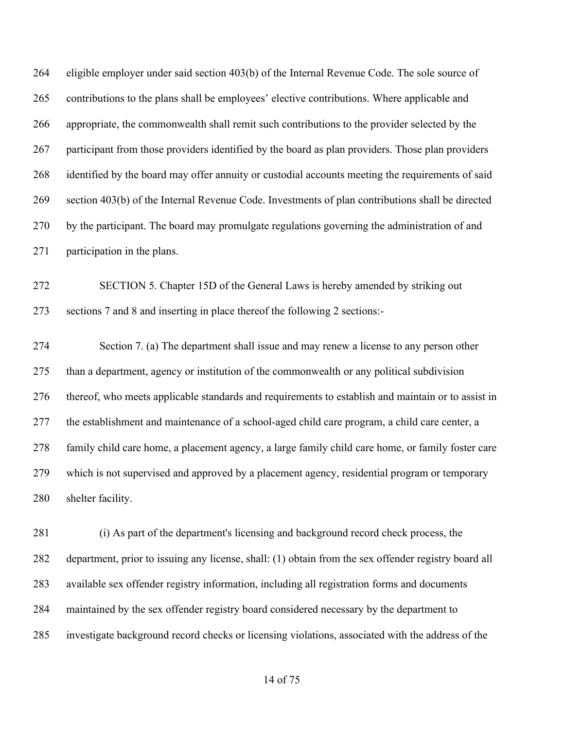eligible employer under said section 403(b) of the Internal Revenue Code. The sole source of contributions to the plans shall be employees' elective contributions. Where applicable and appropriate, the commonwealth shall remit such contributions to the provider selected by the participant from those providers identified by the board as plan providers. Those plan providers identified by the board may offer annuity or custodial accounts meeting the requirements of said section 403(b) of the Internal Revenue Code. Investments of plan contributions shall be directed by the participant. The board may promulgate regulations governing the administration of and participation in the plans.

 SECTION 5. Chapter 15D of the General Laws is hereby amended by striking out sections 7 and 8 and inserting in place thereof the following 2 sections:-

 Section 7. (a) The department shall issue and may renew a license to any person other than a department, agency or institution of the commonwealth or any political subdivision thereof, who meets applicable standards and requirements to establish and maintain or to assist in the establishment and maintenance of a school-aged child care program, a child care center, a family child care home, a placement agency, a large family child care home, or family foster care which is not supervised and approved by a placement agency, residential program or temporary shelter facility.

 (i) As part of the department's licensing and background record check process, the department, prior to issuing any license, shall: (1) obtain from the sex offender registry board all available sex offender registry information, including all registration forms and documents maintained by the sex offender registry board considered necessary by the department to investigate background record checks or licensing violations, associated with the address of the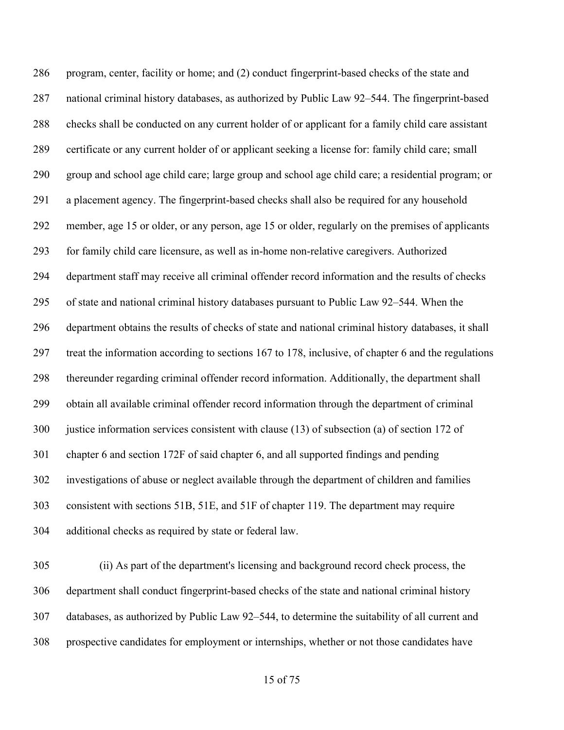program, center, facility or home; and (2) conduct fingerprint-based checks of the state and national criminal history databases, as authorized by Public Law 92–544. The fingerprint-based checks shall be conducted on any current holder of or applicant for a family child care assistant certificate or any current holder of or applicant seeking a license for: family child care; small group and school age child care; large group and school age child care; a residential program; or a placement agency. The fingerprint-based checks shall also be required for any household member, age 15 or older, or any person, age 15 or older, regularly on the premises of applicants for family child care licensure, as well as in-home non-relative caregivers. Authorized department staff may receive all criminal offender record information and the results of checks of state and national criminal history databases pursuant to Public Law 92–544. When the department obtains the results of checks of state and national criminal history databases, it shall treat the information according to sections 167 to 178, inclusive, of chapter 6 and the regulations thereunder regarding criminal offender record information. Additionally, the department shall obtain all available criminal offender record information through the department of criminal justice information services consistent with clause (13) of subsection (a) of section 172 of chapter 6 and section 172F of said chapter 6, and all supported findings and pending investigations of abuse or neglect available through the department of children and families consistent with sections 51B, 51E, and 51F of chapter 119. The department may require additional checks as required by state or federal law.

 (ii) As part of the department's licensing and background record check process, the department shall conduct fingerprint-based checks of the state and national criminal history databases, as authorized by Public Law 92–544, to determine the suitability of all current and prospective candidates for employment or internships, whether or not those candidates have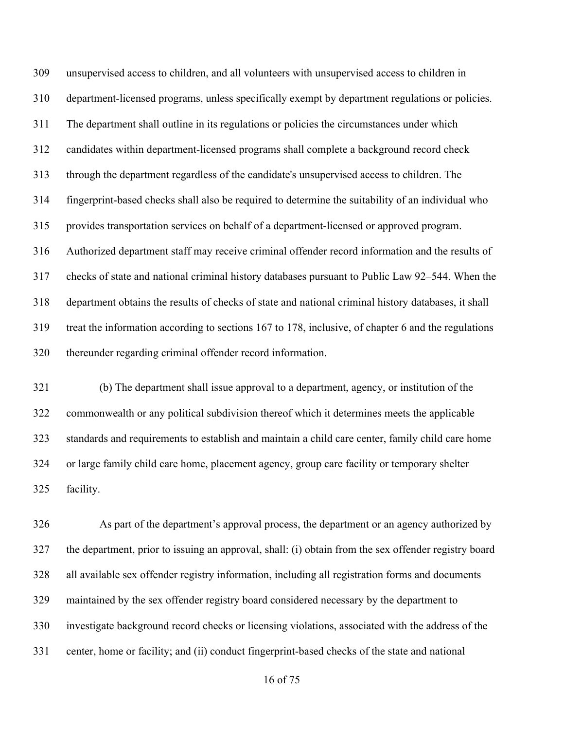unsupervised access to children, and all volunteers with unsupervised access to children in department-licensed programs, unless specifically exempt by department regulations or policies. The department shall outline in its regulations or policies the circumstances under which candidates within department-licensed programs shall complete a background record check through the department regardless of the candidate's unsupervised access to children. The fingerprint-based checks shall also be required to determine the suitability of an individual who provides transportation services on behalf of a department-licensed or approved program. Authorized department staff may receive criminal offender record information and the results of checks of state and national criminal history databases pursuant to Public Law 92–544. When the department obtains the results of checks of state and national criminal history databases, it shall treat the information according to sections 167 to 178, inclusive, of chapter 6 and the regulations thereunder regarding criminal offender record information.

 (b) The department shall issue approval to a department, agency, or institution of the commonwealth or any political subdivision thereof which it determines meets the applicable standards and requirements to establish and maintain a child care center, family child care home or large family child care home, placement agency, group care facility or temporary shelter facility.

 As part of the department's approval process, the department or an agency authorized by the department, prior to issuing an approval, shall: (i) obtain from the sex offender registry board all available sex offender registry information, including all registration forms and documents maintained by the sex offender registry board considered necessary by the department to investigate background record checks or licensing violations, associated with the address of the center, home or facility; and (ii) conduct fingerprint-based checks of the state and national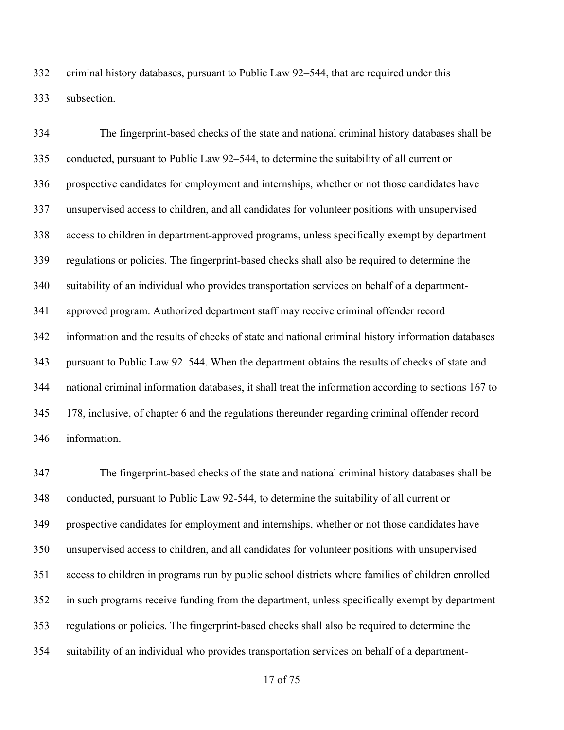criminal history databases, pursuant to Public Law 92–544, that are required under this subsection.

 The fingerprint-based checks of the state and national criminal history databases shall be conducted, pursuant to Public Law 92–544, to determine the suitability of all current or prospective candidates for employment and internships, whether or not those candidates have unsupervised access to children, and all candidates for volunteer positions with unsupervised access to children in department-approved programs, unless specifically exempt by department regulations or policies. The fingerprint-based checks shall also be required to determine the suitability of an individual who provides transportation services on behalf of a department- approved program. Authorized department staff may receive criminal offender record information and the results of checks of state and national criminal history information databases pursuant to Public Law 92–544. When the department obtains the results of checks of state and national criminal information databases, it shall treat the information according to sections 167 to 178, inclusive, of chapter 6 and the regulations thereunder regarding criminal offender record information.

 The fingerprint-based checks of the state and national criminal history databases shall be conducted, pursuant to Public Law 92-544, to determine the suitability of all current or prospective candidates for employment and internships, whether or not those candidates have unsupervised access to children, and all candidates for volunteer positions with unsupervised access to children in programs run by public school districts where families of children enrolled in such programs receive funding from the department, unless specifically exempt by department regulations or policies. The fingerprint-based checks shall also be required to determine the suitability of an individual who provides transportation services on behalf of a department-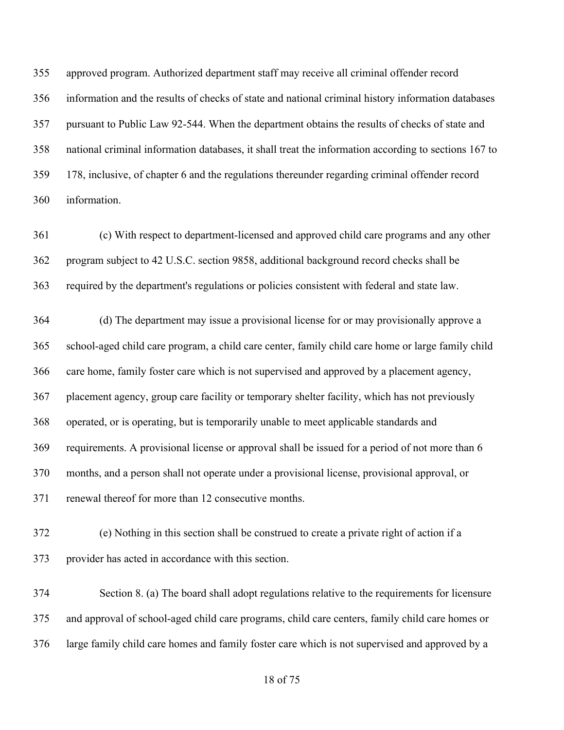approved program. Authorized department staff may receive all criminal offender record information and the results of checks of state and national criminal history information databases pursuant to Public Law 92-544. When the department obtains the results of checks of state and national criminal information databases, it shall treat the information according to sections 167 to 178, inclusive, of chapter 6 and the regulations thereunder regarding criminal offender record information.

 (c) With respect to department-licensed and approved child care programs and any other program subject to 42 U.S.C. section 9858, additional background record checks shall be required by the department's regulations or policies consistent with federal and state law.

 (d) The department may issue a provisional license for or may provisionally approve a school-aged child care program, a child care center, family child care home or large family child care home, family foster care which is not supervised and approved by a placement agency, placement agency, group care facility or temporary shelter facility, which has not previously operated, or is operating, but is temporarily unable to meet applicable standards and requirements. A provisional license or approval shall be issued for a period of not more than 6 months, and a person shall not operate under a provisional license, provisional approval, or renewal thereof for more than 12 consecutive months.

 (e) Nothing in this section shall be construed to create a private right of action if a provider has acted in accordance with this section.

 Section 8. (a) The board shall adopt regulations relative to the requirements for licensure and approval of school-aged child care programs, child care centers, family child care homes or large family child care homes and family foster care which is not supervised and approved by a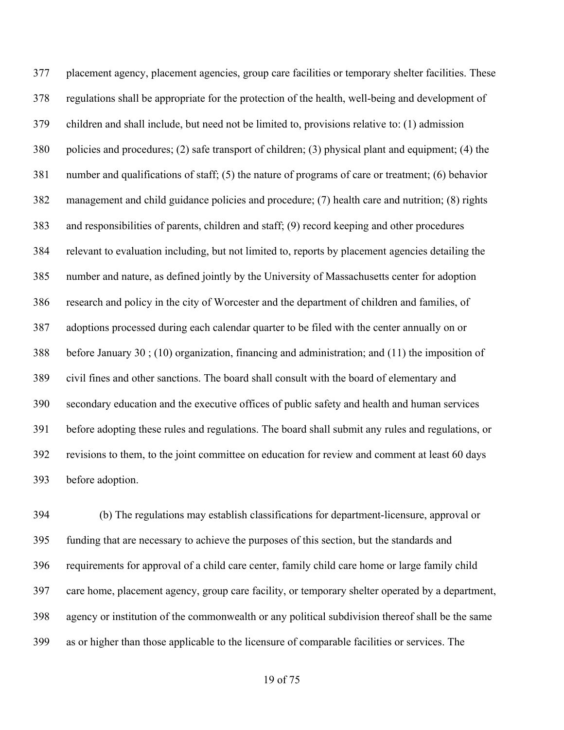placement agency, placement agencies, group care facilities or temporary shelter facilities. These regulations shall be appropriate for the protection of the health, well-being and development of children and shall include, but need not be limited to, provisions relative to: (1) admission policies and procedures; (2) safe transport of children; (3) physical plant and equipment; (4) the number and qualifications of staff; (5) the nature of programs of care or treatment; (6) behavior management and child guidance policies and procedure; (7) health care and nutrition; (8) rights and responsibilities of parents, children and staff; (9) record keeping and other procedures relevant to evaluation including, but not limited to, reports by placement agencies detailing the number and nature, as defined jointly by the University of Massachusetts center for adoption research and policy in the city of Worcester and the department of children and families, of adoptions processed during each calendar quarter to be filed with the center annually on or before January 30 ; (10) organization, financing and administration; and (11) the imposition of civil fines and other sanctions. The board shall consult with the board of elementary and secondary education and the executive offices of public safety and health and human services before adopting these rules and regulations. The board shall submit any rules and regulations, or revisions to them, to the joint committee on education for review and comment at least 60 days before adoption.

 (b) The regulations may establish classifications for department-licensure, approval or funding that are necessary to achieve the purposes of this section, but the standards and requirements for approval of a child care center, family child care home or large family child care home, placement agency, group care facility, or temporary shelter operated by a department, agency or institution of the commonwealth or any political subdivision thereof shall be the same as or higher than those applicable to the licensure of comparable facilities or services. The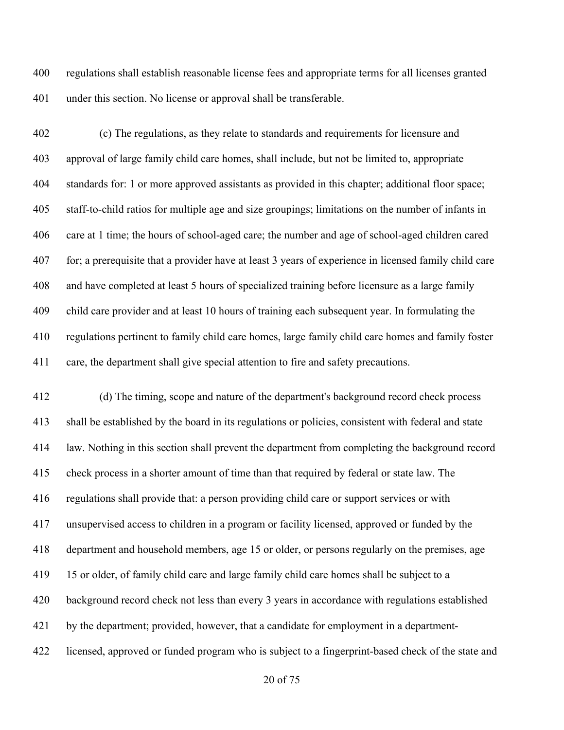regulations shall establish reasonable license fees and appropriate terms for all licenses granted under this section. No license or approval shall be transferable.

 (c) The regulations, as they relate to standards and requirements for licensure and approval of large family child care homes, shall include, but not be limited to, appropriate standards for: 1 or more approved assistants as provided in this chapter; additional floor space; staff-to-child ratios for multiple age and size groupings; limitations on the number of infants in care at 1 time; the hours of school-aged care; the number and age of school-aged children cared for; a prerequisite that a provider have at least 3 years of experience in licensed family child care and have completed at least 5 hours of specialized training before licensure as a large family child care provider and at least 10 hours of training each subsequent year. In formulating the regulations pertinent to family child care homes, large family child care homes and family foster care, the department shall give special attention to fire and safety precautions.

 (d) The timing, scope and nature of the department's background record check process shall be established by the board in its regulations or policies, consistent with federal and state law. Nothing in this section shall prevent the department from completing the background record check process in a shorter amount of time than that required by federal or state law. The regulations shall provide that: a person providing child care or support services or with unsupervised access to children in a program or facility licensed, approved or funded by the department and household members, age 15 or older, or persons regularly on the premises, age 15 or older, of family child care and large family child care homes shall be subject to a background record check not less than every 3 years in accordance with regulations established by the department; provided, however, that a candidate for employment in a department-licensed, approved or funded program who is subject to a fingerprint-based check of the state and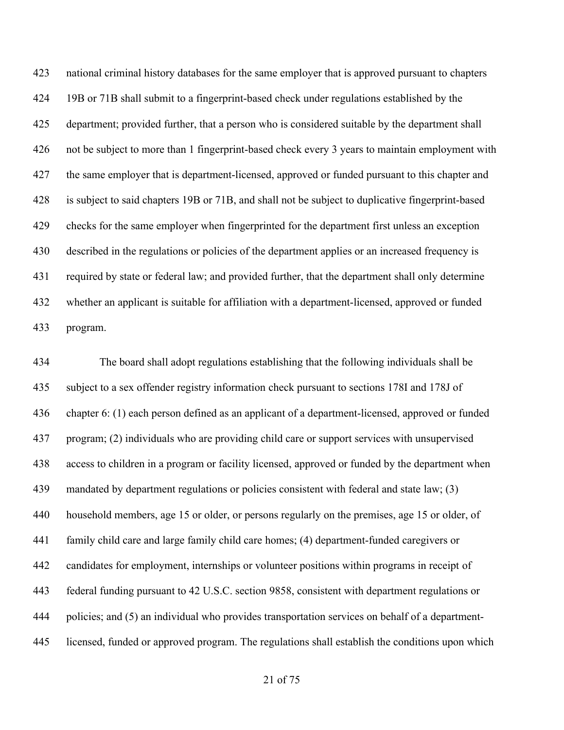national criminal history databases for the same employer that is approved pursuant to chapters 19B or 71B shall submit to a fingerprint-based check under regulations established by the department; provided further, that a person who is considered suitable by the department shall not be subject to more than 1 fingerprint-based check every 3 years to maintain employment with 427 the same employer that is department-licensed, approved or funded pursuant to this chapter and is subject to said chapters 19B or 71B, and shall not be subject to duplicative fingerprint-based checks for the same employer when fingerprinted for the department first unless an exception described in the regulations or policies of the department applies or an increased frequency is required by state or federal law; and provided further, that the department shall only determine whether an applicant is suitable for affiliation with a department-licensed, approved or funded program.

 The board shall adopt regulations establishing that the following individuals shall be subject to a sex offender registry information check pursuant to sections 178I and 178J of chapter 6: (1) each person defined as an applicant of a department-licensed, approved or funded program; (2) individuals who are providing child care or support services with unsupervised access to children in a program or facility licensed, approved or funded by the department when 439 mandated by department regulations or policies consistent with federal and state law; (3) household members, age 15 or older, or persons regularly on the premises, age 15 or older, of family child care and large family child care homes; (4) department-funded caregivers or candidates for employment, internships or volunteer positions within programs in receipt of federal funding pursuant to 42 U.S.C. section 9858, consistent with department regulations or policies; and (5) an individual who provides transportation services on behalf of a department-licensed, funded or approved program. The regulations shall establish the conditions upon which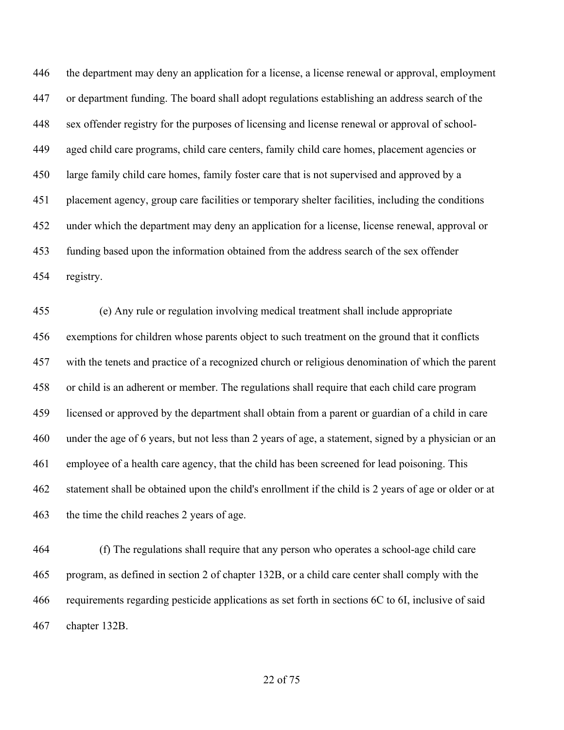the department may deny an application for a license, a license renewal or approval, employment or department funding. The board shall adopt regulations establishing an address search of the sex offender registry for the purposes of licensing and license renewal or approval of school- aged child care programs, child care centers, family child care homes, placement agencies or large family child care homes, family foster care that is not supervised and approved by a placement agency, group care facilities or temporary shelter facilities, including the conditions under which the department may deny an application for a license, license renewal, approval or funding based upon the information obtained from the address search of the sex offender registry.

 (e) Any rule or regulation involving medical treatment shall include appropriate exemptions for children whose parents object to such treatment on the ground that it conflicts with the tenets and practice of a recognized church or religious denomination of which the parent or child is an adherent or member. The regulations shall require that each child care program licensed or approved by the department shall obtain from a parent or guardian of a child in care under the age of 6 years, but not less than 2 years of age, a statement, signed by a physician or an employee of a health care agency, that the child has been screened for lead poisoning. This statement shall be obtained upon the child's enrollment if the child is 2 years of age or older or at the time the child reaches 2 years of age.

 (f) The regulations shall require that any person who operates a school-age child care program, as defined in section 2 of chapter 132B, or a child care center shall comply with the requirements regarding pesticide applications as set forth in sections 6C to 6I, inclusive of said chapter 132B.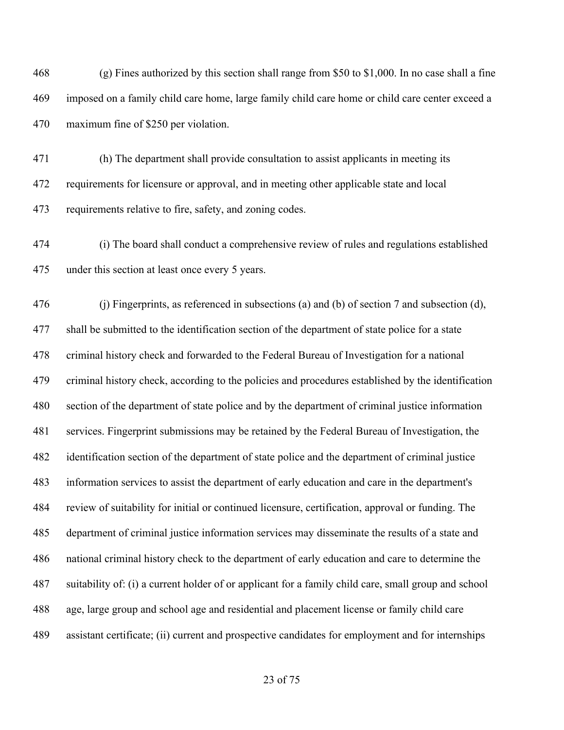(g) Fines authorized by this section shall range from \$50 to \$1,000. In no case shall a fine imposed on a family child care home, large family child care home or child care center exceed a maximum fine of \$250 per violation.

 (h) The department shall provide consultation to assist applicants in meeting its requirements for licensure or approval, and in meeting other applicable state and local requirements relative to fire, safety, and zoning codes.

 (i) The board shall conduct a comprehensive review of rules and regulations established under this section at least once every 5 years.

 (j) Fingerprints, as referenced in subsections (a) and (b) of section 7 and subsection (d), shall be submitted to the identification section of the department of state police for a state criminal history check and forwarded to the Federal Bureau of Investigation for a national criminal history check, according to the policies and procedures established by the identification section of the department of state police and by the department of criminal justice information services. Fingerprint submissions may be retained by the Federal Bureau of Investigation, the identification section of the department of state police and the department of criminal justice information services to assist the department of early education and care in the department's review of suitability for initial or continued licensure, certification, approval or funding. The department of criminal justice information services may disseminate the results of a state and national criminal history check to the department of early education and care to determine the suitability of: (i) a current holder of or applicant for a family child care, small group and school age, large group and school age and residential and placement license or family child care assistant certificate; (ii) current and prospective candidates for employment and for internships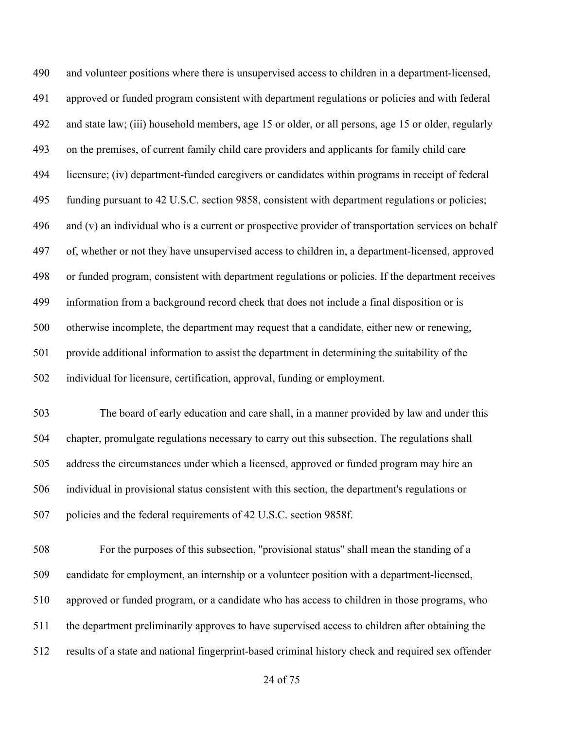and volunteer positions where there is unsupervised access to children in a department-licensed, approved or funded program consistent with department regulations or policies and with federal and state law; (iii) household members, age 15 or older, or all persons, age 15 or older, regularly on the premises, of current family child care providers and applicants for family child care licensure; (iv) department-funded caregivers or candidates within programs in receipt of federal funding pursuant to 42 U.S.C. section 9858, consistent with department regulations or policies; and (v) an individual who is a current or prospective provider of transportation services on behalf of, whether or not they have unsupervised access to children in, a department-licensed, approved or funded program, consistent with department regulations or policies. If the department receives information from a background record check that does not include a final disposition or is otherwise incomplete, the department may request that a candidate, either new or renewing, provide additional information to assist the department in determining the suitability of the individual for licensure, certification, approval, funding or employment.

 The board of early education and care shall, in a manner provided by law and under this chapter, promulgate regulations necessary to carry out this subsection. The regulations shall address the circumstances under which a licensed, approved or funded program may hire an individual in provisional status consistent with this section, the department's regulations or policies and the federal requirements of 42 U.S.C. section 9858f.

 For the purposes of this subsection, ''provisional status'' shall mean the standing of a candidate for employment, an internship or a volunteer position with a department-licensed, approved or funded program, or a candidate who has access to children in those programs, who the department preliminarily approves to have supervised access to children after obtaining the results of a state and national fingerprint-based criminal history check and required sex offender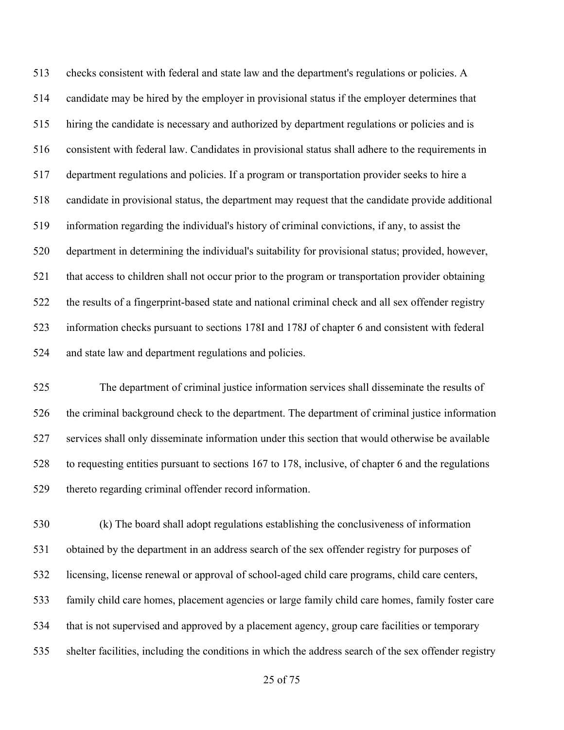checks consistent with federal and state law and the department's regulations or policies. A candidate may be hired by the employer in provisional status if the employer determines that hiring the candidate is necessary and authorized by department regulations or policies and is consistent with federal law. Candidates in provisional status shall adhere to the requirements in department regulations and policies. If a program or transportation provider seeks to hire a candidate in provisional status, the department may request that the candidate provide additional information regarding the individual's history of criminal convictions, if any, to assist the department in determining the individual's suitability for provisional status; provided, however, that access to children shall not occur prior to the program or transportation provider obtaining the results of a fingerprint-based state and national criminal check and all sex offender registry information checks pursuant to sections 178I and 178J of chapter 6 and consistent with federal and state law and department regulations and policies.

 The department of criminal justice information services shall disseminate the results of the criminal background check to the department. The department of criminal justice information services shall only disseminate information under this section that would otherwise be available to requesting entities pursuant to sections 167 to 178, inclusive, of chapter 6 and the regulations thereto regarding criminal offender record information.

 (k) The board shall adopt regulations establishing the conclusiveness of information obtained by the department in an address search of the sex offender registry for purposes of licensing, license renewal or approval of school-aged child care programs, child care centers, family child care homes, placement agencies or large family child care homes, family foster care that is not supervised and approved by a placement agency, group care facilities or temporary shelter facilities, including the conditions in which the address search of the sex offender registry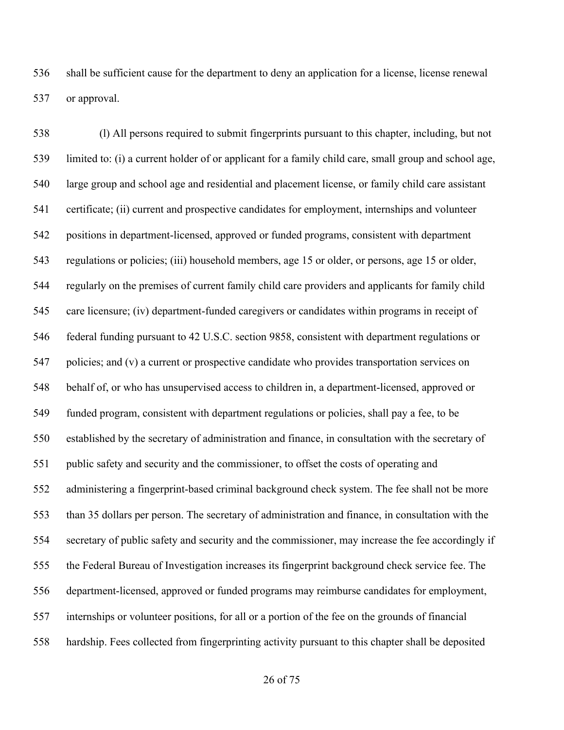shall be sufficient cause for the department to deny an application for a license, license renewal or approval.

 (l) All persons required to submit fingerprints pursuant to this chapter, including, but not limited to: (i) a current holder of or applicant for a family child care, small group and school age, large group and school age and residential and placement license, or family child care assistant certificate; (ii) current and prospective candidates for employment, internships and volunteer positions in department-licensed, approved or funded programs, consistent with department regulations or policies; (iii) household members, age 15 or older, or persons, age 15 or older, regularly on the premises of current family child care providers and applicants for family child care licensure; (iv) department-funded caregivers or candidates within programs in receipt of federal funding pursuant to 42 U.S.C. section 9858, consistent with department regulations or policies; and (v) a current or prospective candidate who provides transportation services on behalf of, or who has unsupervised access to children in, a department-licensed, approved or funded program, consistent with department regulations or policies, shall pay a fee, to be established by the secretary of administration and finance, in consultation with the secretary of public safety and security and the commissioner, to offset the costs of operating and administering a fingerprint-based criminal background check system. The fee shall not be more than 35 dollars per person. The secretary of administration and finance, in consultation with the secretary of public safety and security and the commissioner, may increase the fee accordingly if the Federal Bureau of Investigation increases its fingerprint background check service fee. The department-licensed, approved or funded programs may reimburse candidates for employment, internships or volunteer positions, for all or a portion of the fee on the grounds of financial hardship. Fees collected from fingerprinting activity pursuant to this chapter shall be deposited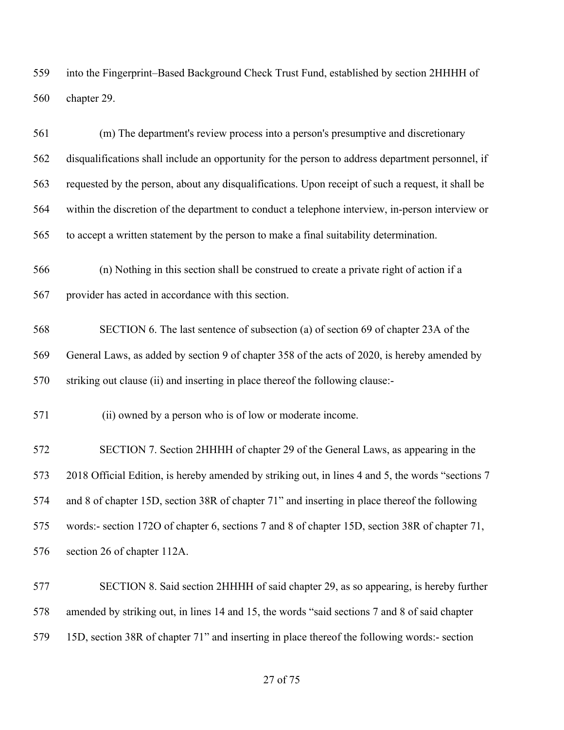into the Fingerprint–Based Background Check Trust Fund, established by section 2HHHH of chapter 29.

 (m) The department's review process into a person's presumptive and discretionary disqualifications shall include an opportunity for the person to address department personnel, if requested by the person, about any disqualifications. Upon receipt of such a request, it shall be within the discretion of the department to conduct a telephone interview, in-person interview or to accept a written statement by the person to make a final suitability determination. (n) Nothing in this section shall be construed to create a private right of action if a provider has acted in accordance with this section. SECTION 6. The last sentence of subsection (a) of section 69 of chapter 23A of the General Laws, as added by section 9 of chapter 358 of the acts of 2020, is hereby amended by striking out clause (ii) and inserting in place thereof the following clause:- (ii) owned by a person who is of low or moderate income. SECTION 7. Section 2HHHH of chapter 29 of the General Laws, as appearing in the 2018 Official Edition, is hereby amended by striking out, in lines 4 and 5, the words "sections 7 and 8 of chapter 15D, section 38R of chapter 71" and inserting in place thereof the following words:- section 172O of chapter 6, sections 7 and 8 of chapter 15D, section 38R of chapter 71, section 26 of chapter 112A. SECTION 8. Said section 2HHHH of said chapter 29, as so appearing, is hereby further

 amended by striking out, in lines 14 and 15, the words "said sections 7 and 8 of said chapter 15D, section 38R of chapter 71" and inserting in place thereof the following words:- section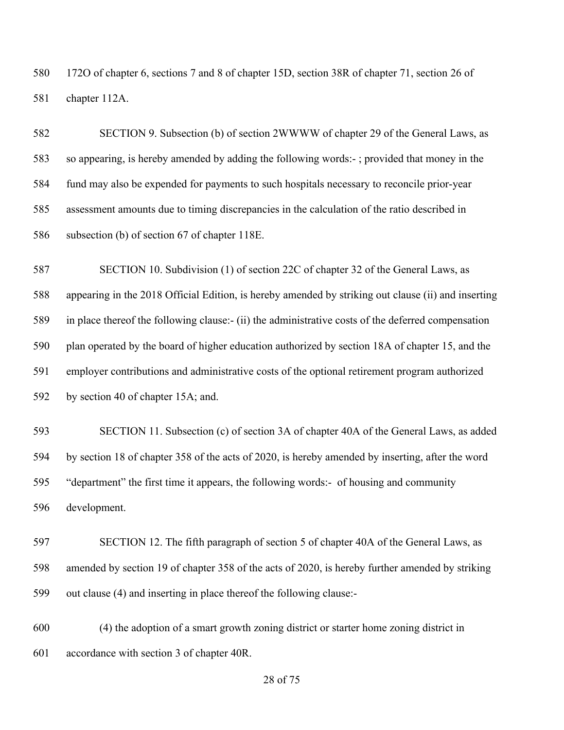172O of chapter 6, sections 7 and 8 of chapter 15D, section 38R of chapter 71, section 26 of chapter 112A.

 SECTION 9. Subsection (b) of section 2WWWW of chapter 29 of the General Laws, as so appearing, is hereby amended by adding the following words:- ; provided that money in the fund may also be expended for payments to such hospitals necessary to reconcile prior-year assessment amounts due to timing discrepancies in the calculation of the ratio described in subsection (b) of section 67 of chapter 118E.

 SECTION 10. Subdivision (1) of section 22C of chapter 32 of the General Laws, as appearing in the 2018 Official Edition, is hereby amended by striking out clause (ii) and inserting in place thereof the following clause:- (ii) the administrative costs of the deferred compensation plan operated by the board of higher education authorized by section 18A of chapter 15, and the employer contributions and administrative costs of the optional retirement program authorized by section 40 of chapter 15A; and.

 SECTION 11. Subsection (c) of section 3A of chapter 40A of the General Laws, as added by section 18 of chapter 358 of the acts of 2020, is hereby amended by inserting, after the word "department" the first time it appears, the following words:- of housing and community development.

 SECTION 12. The fifth paragraph of section 5 of chapter 40A of the General Laws, as amended by section 19 of chapter 358 of the acts of 2020, is hereby further amended by striking out clause (4) and inserting in place thereof the following clause:-

 (4) the adoption of a smart growth zoning district or starter home zoning district in accordance with section 3 of chapter 40R.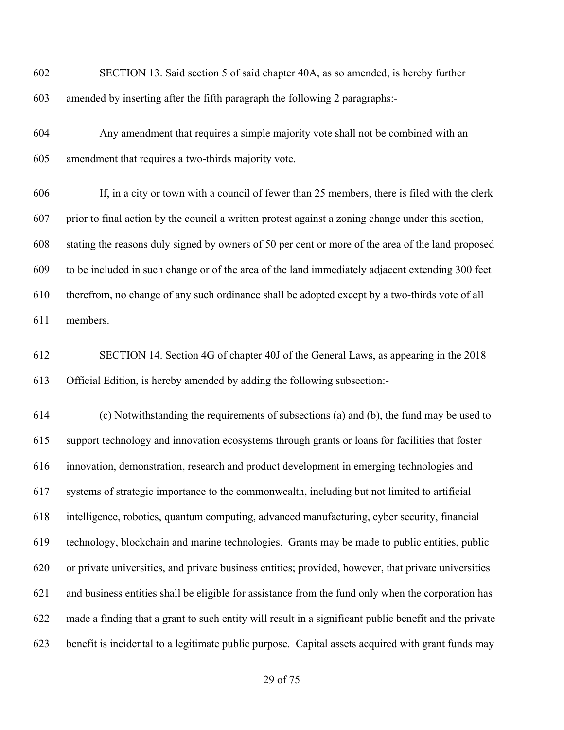| 602 | SECTION 13. Said section 5 of said chapter 40A, as so amended, is hereby further                       |
|-----|--------------------------------------------------------------------------------------------------------|
| 603 | amended by inserting after the fifth paragraph the following 2 paragraphs:-                            |
| 604 | Any amendment that requires a simple majority vote shall not be combined with an                       |
| 605 | amendment that requires a two-thirds majority vote.                                                    |
| 606 | If, in a city or town with a council of fewer than 25 members, there is filed with the clerk           |
| 607 | prior to final action by the council a written protest against a zoning change under this section,     |
| 608 | stating the reasons duly signed by owners of 50 per cent or more of the area of the land proposed      |
| 609 | to be included in such change or of the area of the land immediately adjacent extending 300 feet       |
| 610 | therefrom, no change of any such ordinance shall be adopted except by a two-thirds vote of all         |
| 611 | members.                                                                                               |
| 612 | SECTION 14. Section 4G of chapter 40J of the General Laws, as appearing in the 2018                    |
| 613 | Official Edition, is hereby amended by adding the following subsection:-                               |
| 614 | (c) Notwithstanding the requirements of subsections (a) and (b), the fund may be used to               |
| 615 | support technology and innovation ecosystems through grants or loans for facilities that foster        |
| 616 | innovation, demonstration, research and product development in emerging technologies and               |
| 617 | systems of strategic importance to the commonwealth, including but not limited to artificial           |
| 618 | intelligence, robotics, quantum computing, advanced manufacturing, cyber security, financial           |
| 619 | technology, blockchain and marine technologies. Grants may be made to public entities, public          |
| 620 | or private universities, and private business entities; provided, however, that private universities   |
| 621 | and business entities shall be eligible for assistance from the fund only when the corporation has     |
| 622 | made a finding that a grant to such entity will result in a significant public benefit and the private |
| 623 | benefit is incidental to a legitimate public purpose. Capital assets acquired with grant funds may     |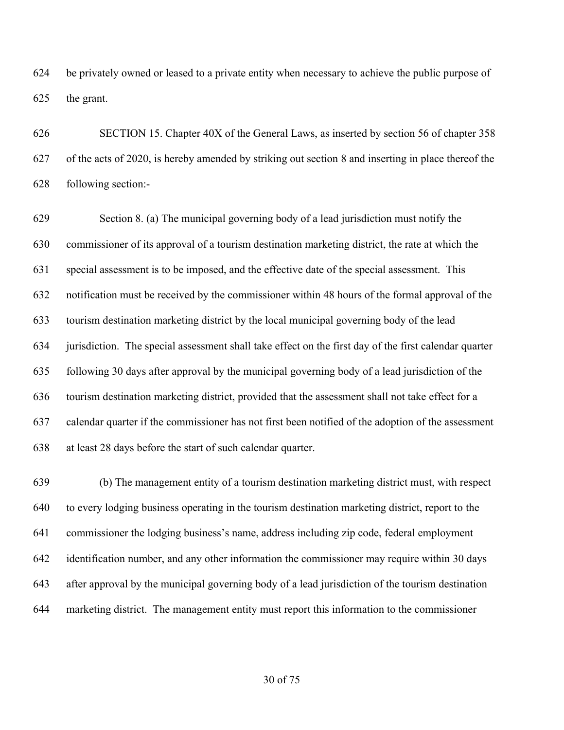be privately owned or leased to a private entity when necessary to achieve the public purpose of the grant.

 SECTION 15. Chapter 40X of the General Laws, as inserted by section 56 of chapter 358 of the acts of 2020, is hereby amended by striking out section 8 and inserting in place thereof the following section:-

 Section 8. (a) The municipal governing body of a lead jurisdiction must notify the commissioner of its approval of a tourism destination marketing district, the rate at which the special assessment is to be imposed, and the effective date of the special assessment. This notification must be received by the commissioner within 48 hours of the formal approval of the tourism destination marketing district by the local municipal governing body of the lead jurisdiction. The special assessment shall take effect on the first day of the first calendar quarter following 30 days after approval by the municipal governing body of a lead jurisdiction of the tourism destination marketing district, provided that the assessment shall not take effect for a calendar quarter if the commissioner has not first been notified of the adoption of the assessment at least 28 days before the start of such calendar quarter.

 (b) The management entity of a tourism destination marketing district must, with respect to every lodging business operating in the tourism destination marketing district, report to the commissioner the lodging business's name, address including zip code, federal employment identification number, and any other information the commissioner may require within 30 days after approval by the municipal governing body of a lead jurisdiction of the tourism destination marketing district. The management entity must report this information to the commissioner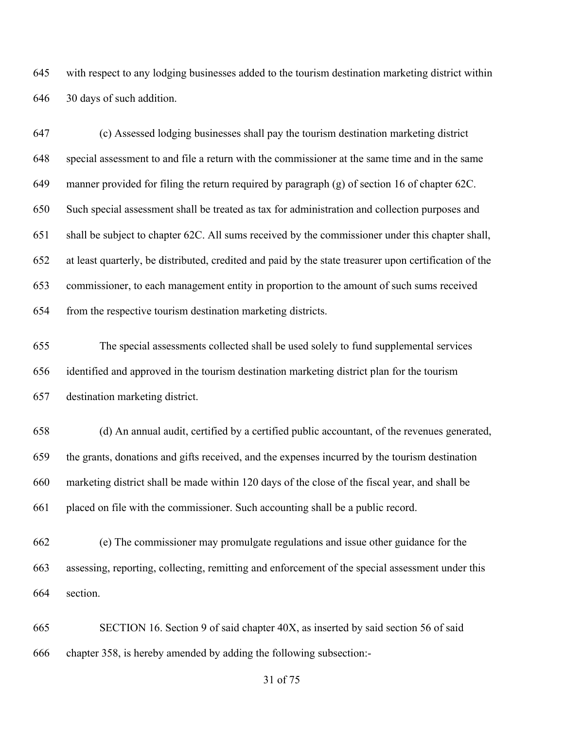with respect to any lodging businesses added to the tourism destination marketing district within 30 days of such addition.

 (c) Assessed lodging businesses shall pay the tourism destination marketing district special assessment to and file a return with the commissioner at the same time and in the same manner provided for filing the return required by paragraph (g) of section 16 of chapter 62C. Such special assessment shall be treated as tax for administration and collection purposes and shall be subject to chapter 62C. All sums received by the commissioner under this chapter shall, at least quarterly, be distributed, credited and paid by the state treasurer upon certification of the commissioner, to each management entity in proportion to the amount of such sums received from the respective tourism destination marketing districts.

 The special assessments collected shall be used solely to fund supplemental services identified and approved in the tourism destination marketing district plan for the tourism destination marketing district.

 (d) An annual audit, certified by a certified public accountant, of the revenues generated, the grants, donations and gifts received, and the expenses incurred by the tourism destination marketing district shall be made within 120 days of the close of the fiscal year, and shall be placed on file with the commissioner. Such accounting shall be a public record.

 (e) The commissioner may promulgate regulations and issue other guidance for the assessing, reporting, collecting, remitting and enforcement of the special assessment under this section.

 SECTION 16. Section 9 of said chapter 40X, as inserted by said section 56 of said chapter 358, is hereby amended by adding the following subsection:-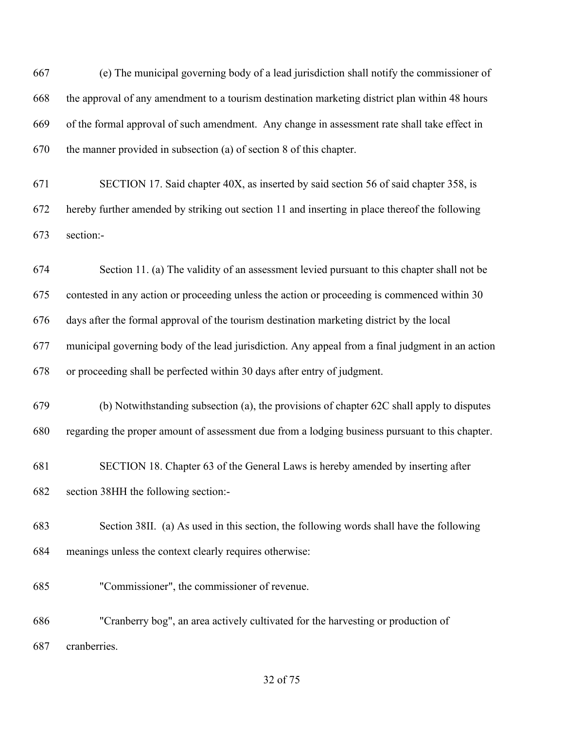(e) The municipal governing body of a lead jurisdiction shall notify the commissioner of the approval of any amendment to a tourism destination marketing district plan within 48 hours of the formal approval of such amendment. Any change in assessment rate shall take effect in the manner provided in subsection (a) of section 8 of this chapter.

 SECTION 17. Said chapter 40X, as inserted by said section 56 of said chapter 358, is hereby further amended by striking out section 11 and inserting in place thereof the following section:-

 Section 11. (a) The validity of an assessment levied pursuant to this chapter shall not be contested in any action or proceeding unless the action or proceeding is commenced within 30 days after the formal approval of the tourism destination marketing district by the local municipal governing body of the lead jurisdiction. Any appeal from a final judgment in an action or proceeding shall be perfected within 30 days after entry of judgment.

 (b) Notwithstanding subsection (a), the provisions of chapter 62C shall apply to disputes regarding the proper amount of assessment due from a lodging business pursuant to this chapter.

SECTION 18. Chapter 63 of the General Laws is hereby amended by inserting after

section 38HH the following section:-

 Section 38II. (a) As used in this section, the following words shall have the following meanings unless the context clearly requires otherwise:

"Commissioner", the commissioner of revenue.

 "Cranberry bog", an area actively cultivated for the harvesting or production of cranberries.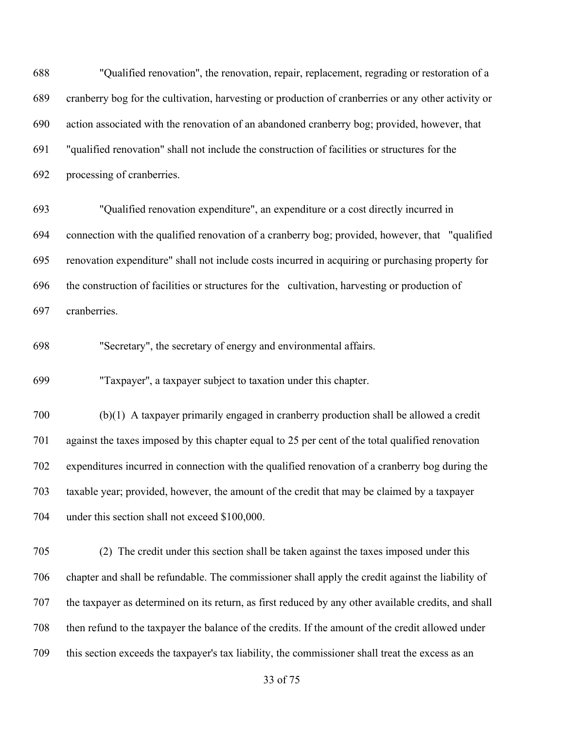"Qualified renovation'', the renovation, repair, replacement, regrading or restoration of a cranberry bog for the cultivation, harvesting or production of cranberries or any other activity or action associated with the renovation of an abandoned cranberry bog; provided, however, that "qualified renovation" shall not include the construction of facilities or structures for the processing of cranberries.

 "Qualified renovation expenditure", an expenditure or a cost directly incurred in connection with the qualified renovation of a cranberry bog; provided, however, that "qualified renovation expenditure" shall not include costs incurred in acquiring or purchasing property for the construction of facilities or structures for the cultivation, harvesting or production of cranberries.

"Secretary", the secretary of energy and environmental affairs.

"Taxpayer'', a taxpayer subject to taxation under this chapter.

 (b)(1) A taxpayer primarily engaged in cranberry production shall be allowed a credit against the taxes imposed by this chapter equal to 25 per cent of the total qualified renovation expenditures incurred in connection with the qualified renovation of a cranberry bog during the taxable year; provided, however, the amount of the credit that may be claimed by a taxpayer under this section shall not exceed \$100,000.

 (2) The credit under this section shall be taken against the taxes imposed under this chapter and shall be refundable. The commissioner shall apply the credit against the liability of the taxpayer as determined on its return, as first reduced by any other available credits, and shall then refund to the taxpayer the balance of the credits. If the amount of the credit allowed under this section exceeds the taxpayer's tax liability, the commissioner shall treat the excess as an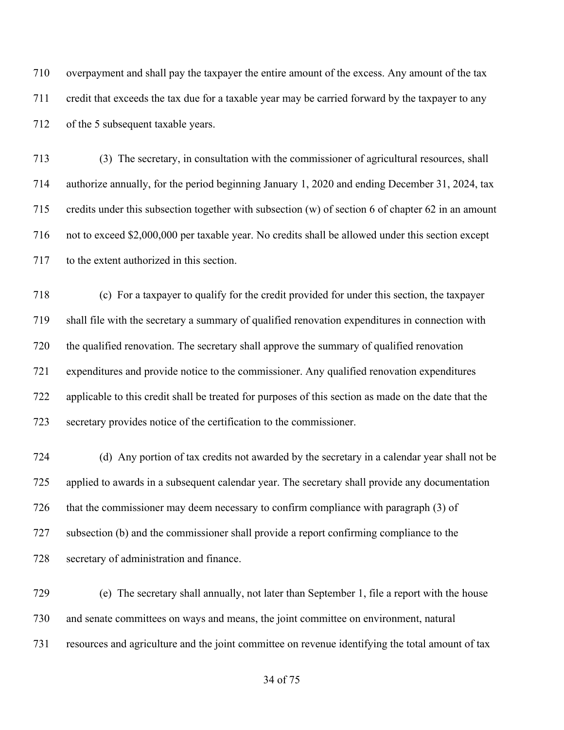overpayment and shall pay the taxpayer the entire amount of the excess. Any amount of the tax credit that exceeds the tax due for a taxable year may be carried forward by the taxpayer to any of the 5 subsequent taxable years.

 (3) The secretary, in consultation with the commissioner of agricultural resources, shall authorize annually, for the period beginning January 1, 2020 and ending December 31, 2024, tax credits under this subsection together with subsection (w) of section 6 of chapter 62 in an amount not to exceed \$2,000,000 per taxable year. No credits shall be allowed under this section except to the extent authorized in this section.

 (c) For a taxpayer to qualify for the credit provided for under this section, the taxpayer shall file with the secretary a summary of qualified renovation expenditures in connection with the qualified renovation. The secretary shall approve the summary of qualified renovation expenditures and provide notice to the commissioner. Any qualified renovation expenditures applicable to this credit shall be treated for purposes of this section as made on the date that the secretary provides notice of the certification to the commissioner.

 (d) Any portion of tax credits not awarded by the secretary in a calendar year shall not be applied to awards in a subsequent calendar year. The secretary shall provide any documentation that the commissioner may deem necessary to confirm compliance with paragraph (3) of subsection (b) and the commissioner shall provide a report confirming compliance to the secretary of administration and finance.

 (e) The secretary shall annually, not later than September 1, file a report with the house and senate committees on ways and means, the joint committee on environment, natural resources and agriculture and the joint committee on revenue identifying the total amount of tax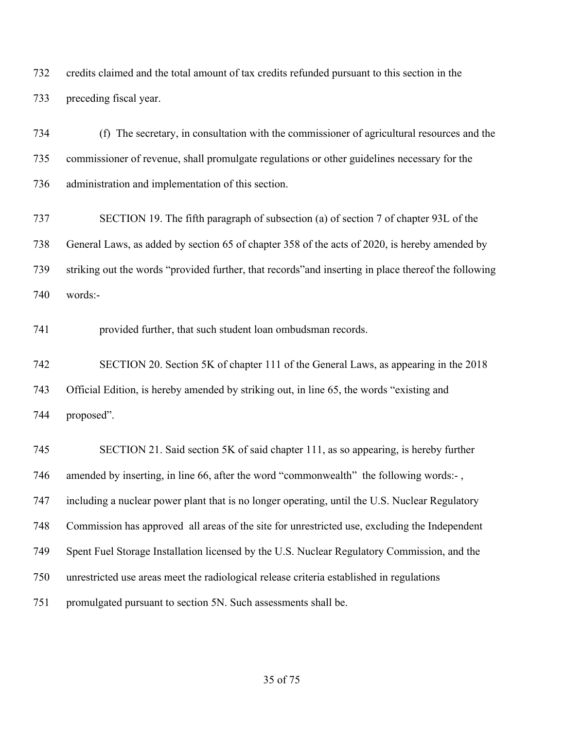credits claimed and the total amount of tax credits refunded pursuant to this section in the preceding fiscal year.

 (f) The secretary, in consultation with the commissioner of agricultural resources and the commissioner of revenue, shall promulgate regulations or other guidelines necessary for the administration and implementation of this section.

 SECTION 19. The fifth paragraph of subsection (a) of section 7 of chapter 93L of the General Laws, as added by section 65 of chapter 358 of the acts of 2020, is hereby amended by striking out the words "provided further, that records"and inserting in place thereof the following words:-

provided further, that such student loan ombudsman records.

 SECTION 20. Section 5K of chapter 111 of the General Laws, as appearing in the 2018 Official Edition, is hereby amended by striking out, in line 65, the words "existing and proposed".

 SECTION 21. Said section 5K of said chapter 111, as so appearing, is hereby further 746 amended by inserting, in line 66, after the word "commonwealth" the following words:-, including a nuclear power plant that is no longer operating, until the U.S. Nuclear Regulatory Commission has approved all areas of the site for unrestricted use, excluding the Independent Spent Fuel Storage Installation licensed by the U.S. Nuclear Regulatory Commission, and the unrestricted use areas meet the radiological release criteria established in regulations promulgated pursuant to section 5N. Such assessments shall be.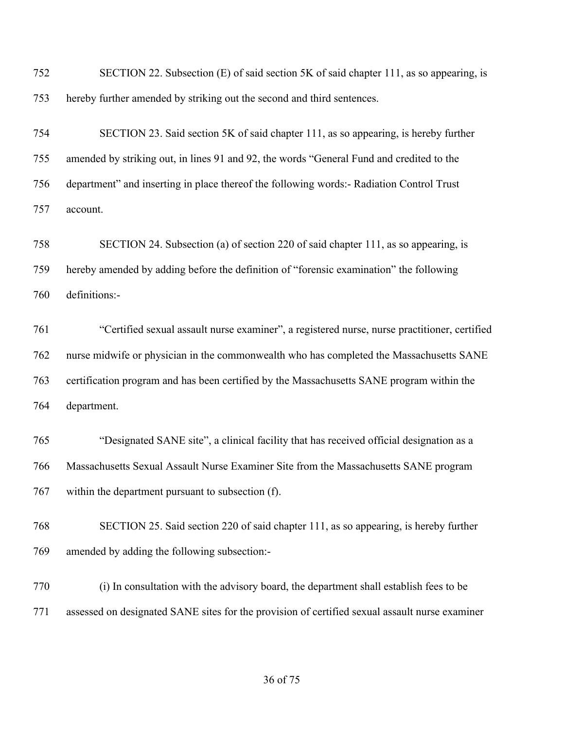| 752 | SECTION 22. Subsection (E) of said section 5K of said chapter 111, as so appearing, is         |
|-----|------------------------------------------------------------------------------------------------|
| 753 | hereby further amended by striking out the second and third sentences.                         |
| 754 | SECTION 23. Said section 5K of said chapter 111, as so appearing, is hereby further            |
| 755 | amended by striking out, in lines 91 and 92, the words "General Fund and credited to the       |
| 756 | department" and inserting in place thereof the following words:- Radiation Control Trust       |
| 757 | account.                                                                                       |
| 758 | SECTION 24. Subsection (a) of section 220 of said chapter 111, as so appearing, is             |
| 759 | hereby amended by adding before the definition of "forensic examination" the following         |
| 760 | definitions:-                                                                                  |
| 761 | "Certified sexual assault nurse examiner", a registered nurse, nurse practitioner, certified   |
| 762 | nurse midwife or physician in the commonwealth who has completed the Massachusetts SANE        |
| 763 | certification program and has been certified by the Massachusetts SANE program within the      |
| 764 | department.                                                                                    |
| 765 | "Designated SANE site", a clinical facility that has received official designation as a        |
| 766 | Massachusetts Sexual Assault Nurse Examiner Site from the Massachusetts SANE program           |
| 767 | within the department pursuant to subsection (f).                                              |
| 768 | SECTION 25. Said section 220 of said chapter 111, as so appearing, is hereby further           |
| 769 | amended by adding the following subsection:-                                                   |
| 770 | (i) In consultation with the advisory board, the department shall establish fees to be         |
| 771 | assessed on designated SANE sites for the provision of certified sexual assault nurse examiner |
|     |                                                                                                |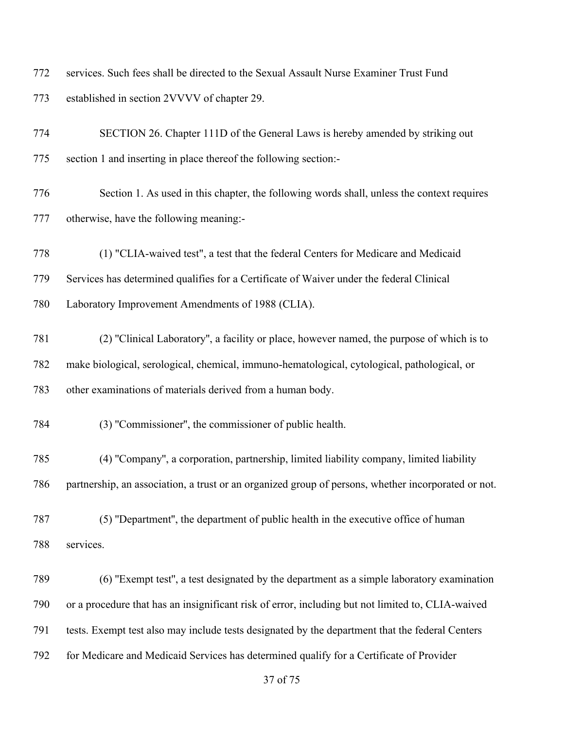services. Such fees shall be directed to the Sexual Assault Nurse Examiner Trust Fund established in section 2VVVV of chapter 29.

| 774 | SECTION 26. Chapter 111D of the General Laws is hereby amended by striking out                      |
|-----|-----------------------------------------------------------------------------------------------------|
| 775 | section 1 and inserting in place thereof the following section:-                                    |
| 776 | Section 1. As used in this chapter, the following words shall, unless the context requires          |
| 777 | otherwise, have the following meaning:-                                                             |
| 778 | (1) "CLIA-waived test", a test that the federal Centers for Medicare and Medicaid                   |
| 779 | Services has determined qualifies for a Certificate of Waiver under the federal Clinical            |
| 780 | Laboratory Improvement Amendments of 1988 (CLIA).                                                   |
| 781 | (2) "Clinical Laboratory", a facility or place, however named, the purpose of which is to           |
| 782 | make biological, serological, chemical, immuno-hematological, cytological, pathological, or         |
| 783 | other examinations of materials derived from a human body.                                          |
| 784 | (3) "Commissioner", the commissioner of public health.                                              |
| 785 | (4) "Company", a corporation, partnership, limited liability company, limited liability             |
| 786 | partnership, an association, a trust or an organized group of persons, whether incorporated or not. |
| 787 | (5) "Department", the department of public health in the executive office of human                  |
| 788 | services.                                                                                           |
| 789 | (6) "Exempt test", a test designated by the department as a simple laboratory examination           |
| 790 | or a procedure that has an insignificant risk of error, including but not limited to, CLIA-waived   |
| 791 | tests. Exempt test also may include tests designated by the department that the federal Centers     |
| 792 | for Medicare and Medicaid Services has determined qualify for a Certificate of Provider             |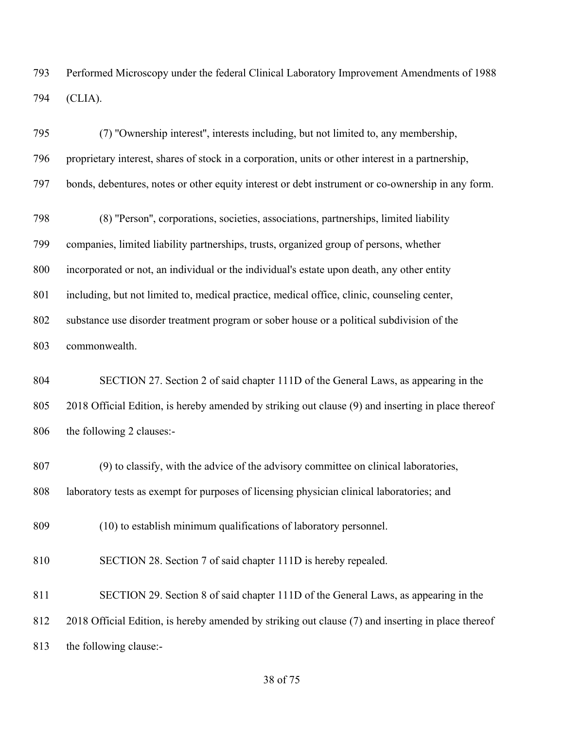Performed Microscopy under the federal Clinical Laboratory Improvement Amendments of 1988 (CLIA).

 (7) ''Ownership interest'', interests including, but not limited to, any membership, proprietary interest, shares of stock in a corporation, units or other interest in a partnership, bonds, debentures, notes or other equity interest or debt instrument or co-ownership in any form.

 (8) ''Person'', corporations, societies, associations, partnerships, limited liability companies, limited liability partnerships, trusts, organized group of persons, whether incorporated or not, an individual or the individual's estate upon death, any other entity including, but not limited to, medical practice, medical office, clinic, counseling center, substance use disorder treatment program or sober house or a political subdivision of the commonwealth.

 SECTION 27. Section 2 of said chapter 111D of the General Laws, as appearing in the 2018 Official Edition, is hereby amended by striking out clause (9) and inserting in place thereof the following 2 clauses:-

 (9) to classify, with the advice of the advisory committee on clinical laboratories, 808 laboratory tests as exempt for purposes of licensing physician clinical laboratories; and

(10) to establish minimum qualifications of laboratory personnel.

SECTION 28. Section 7 of said chapter 111D is hereby repealed.

 SECTION 29. Section 8 of said chapter 111D of the General Laws, as appearing in the 2018 Official Edition, is hereby amended by striking out clause (7) and inserting in place thereof the following clause:-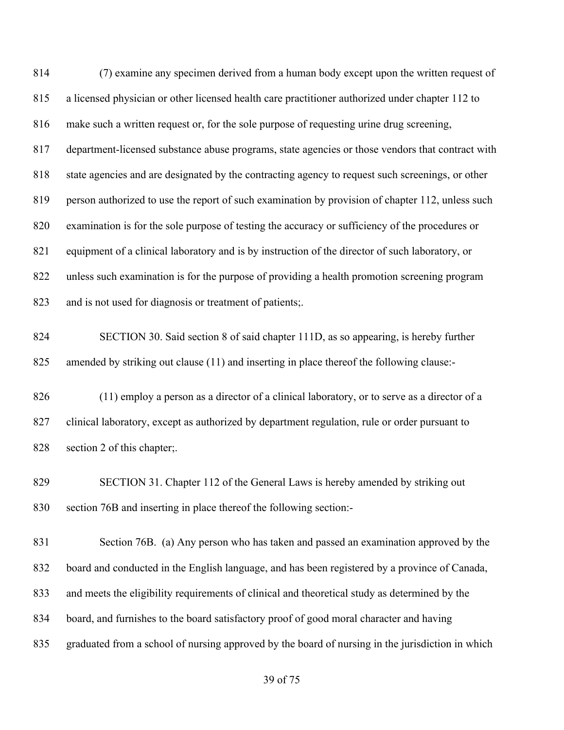(7) examine any specimen derived from a human body except upon the written request of a licensed physician or other licensed health care practitioner authorized under chapter 112 to make such a written request or, for the sole purpose of requesting urine drug screening, department-licensed substance abuse programs, state agencies or those vendors that contract with state agencies and are designated by the contracting agency to request such screenings, or other 819 person authorized to use the report of such examination by provision of chapter 112, unless such examination is for the sole purpose of testing the accuracy or sufficiency of the procedures or equipment of a clinical laboratory and is by instruction of the director of such laboratory, or unless such examination is for the purpose of providing a health promotion screening program and is not used for diagnosis or treatment of patients;. SECTION 30. Said section 8 of said chapter 111D, as so appearing, is hereby further amended by striking out clause (11) and inserting in place thereof the following clause:- (11) employ a person as a director of a clinical laboratory, or to serve as a director of a 827 clinical laboratory, except as authorized by department regulation, rule or order pursuant to section 2 of this chapter;. SECTION 31. Chapter 112 of the General Laws is hereby amended by striking out section 76B and inserting in place thereof the following section:- Section 76B. (a) Any person who has taken and passed an examination approved by the board and conducted in the English language, and has been registered by a province of Canada, and meets the eligibility requirements of clinical and theoretical study as determined by the board, and furnishes to the board satisfactory proof of good moral character and having graduated from a school of nursing approved by the board of nursing in the jurisdiction in which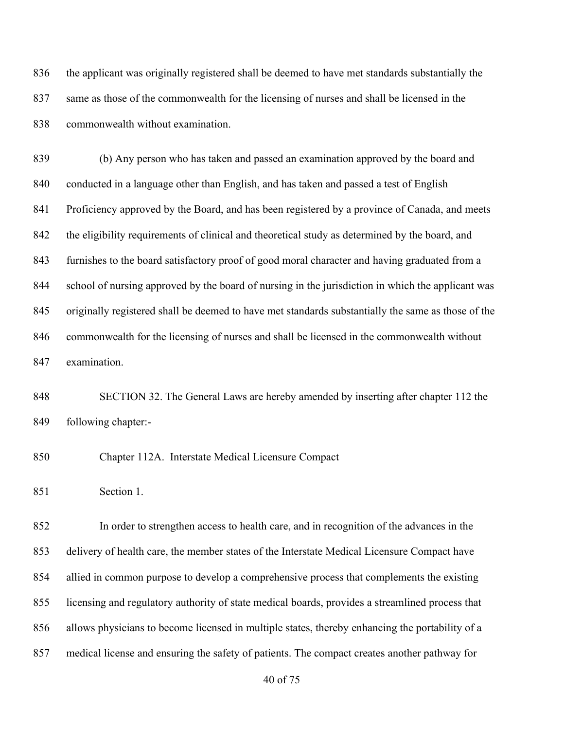the applicant was originally registered shall be deemed to have met standards substantially the same as those of the commonwealth for the licensing of nurses and shall be licensed in the commonwealth without examination.

 (b) Any person who has taken and passed an examination approved by the board and conducted in a language other than English, and has taken and passed a test of English 841 Proficiency approved by the Board, and has been registered by a province of Canada, and meets 842 the eligibility requirements of clinical and theoretical study as determined by the board, and furnishes to the board satisfactory proof of good moral character and having graduated from a school of nursing approved by the board of nursing in the jurisdiction in which the applicant was originally registered shall be deemed to have met standards substantially the same as those of the commonwealth for the licensing of nurses and shall be licensed in the commonwealth without examination.

 SECTION 32. The General Laws are hereby amended by inserting after chapter 112 the following chapter:-

Chapter 112A. Interstate Medical Licensure Compact

Section 1.

 In order to strengthen access to health care, and in recognition of the advances in the delivery of health care, the member states of the Interstate Medical Licensure Compact have allied in common purpose to develop a comprehensive process that complements the existing licensing and regulatory authority of state medical boards, provides a streamlined process that allows physicians to become licensed in multiple states, thereby enhancing the portability of a medical license and ensuring the safety of patients. The compact creates another pathway for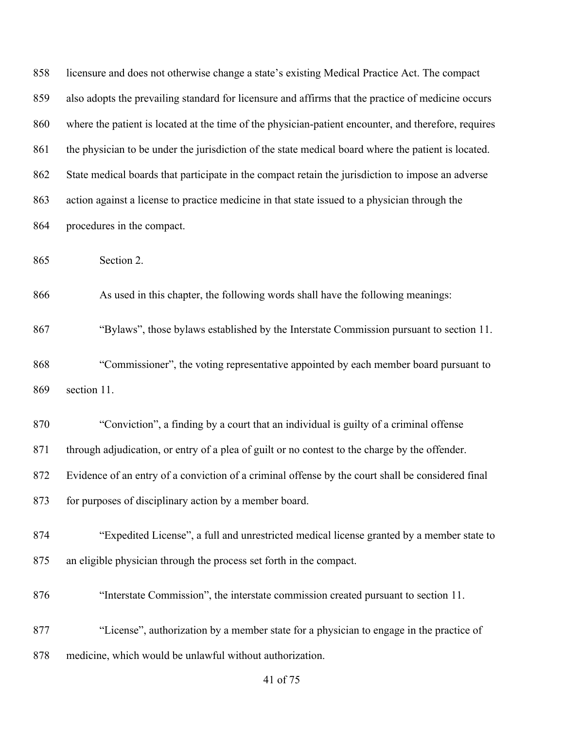| 858 | licensure and does not otherwise change a state's existing Medical Practice Act. The compact         |
|-----|------------------------------------------------------------------------------------------------------|
| 859 | also adopts the prevailing standard for licensure and affirms that the practice of medicine occurs   |
| 860 | where the patient is located at the time of the physician-patient encounter, and therefore, requires |
| 861 | the physician to be under the jurisdiction of the state medical board where the patient is located.  |
| 862 | State medical boards that participate in the compact retain the jurisdiction to impose an adverse    |
| 863 | action against a license to practice medicine in that state issued to a physician through the        |
| 864 | procedures in the compact.                                                                           |
| 865 | Section 2.                                                                                           |
| 866 | As used in this chapter, the following words shall have the following meanings:                      |
| 867 | "Bylaws", those bylaws established by the Interstate Commission pursuant to section 11.              |
| 868 | "Commissioner", the voting representative appointed by each member board pursuant to                 |
| 869 | section 11.                                                                                          |
| 870 | "Conviction", a finding by a court that an individual is guilty of a criminal offense                |
| 871 | through adjudication, or entry of a plea of guilt or no contest to the charge by the offender.       |
| 872 | Evidence of an entry of a conviction of a criminal offense by the court shall be considered final    |
| 873 | for purposes of disciplinary action by a member board.                                               |
| 874 | "Expedited License", a full and unrestricted medical license granted by a member state to            |
| 875 | an eligible physician through the process set forth in the compact.                                  |
| 876 | "Interstate Commission", the interstate commission created pursuant to section 11.                   |
| 877 | "License", authorization by a member state for a physician to engage in the practice of              |
| 878 | medicine, which would be unlawful without authorization.                                             |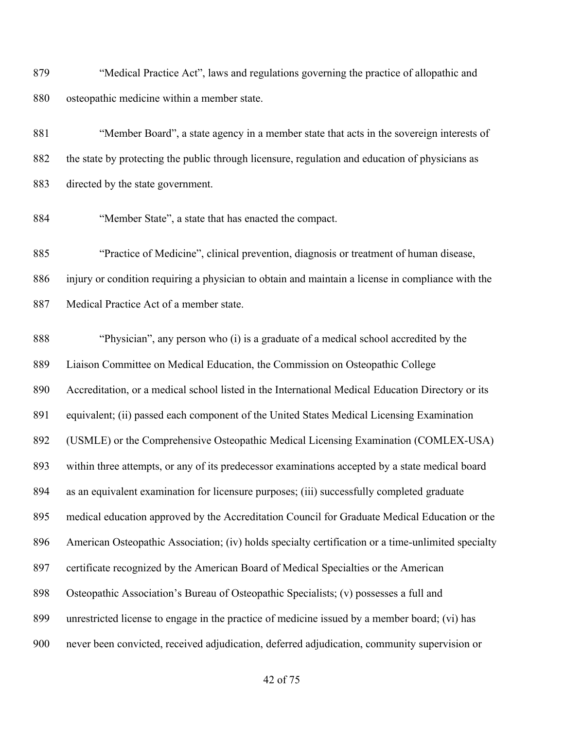"Medical Practice Act", laws and regulations governing the practice of allopathic and osteopathic medicine within a member state.

 "Member Board", a state agency in a member state that acts in the sovereign interests of the state by protecting the public through licensure, regulation and education of physicians as directed by the state government.

"Member State", a state that has enacted the compact.

 "Practice of Medicine", clinical prevention, diagnosis or treatment of human disease, injury or condition requiring a physician to obtain and maintain a license in compliance with the Medical Practice Act of a member state.

 "Physician", any person who (i) is a graduate of a medical school accredited by the Liaison Committee on Medical Education, the Commission on Osteopathic College Accreditation, or a medical school listed in the International Medical Education Directory or its equivalent; (ii) passed each component of the United States Medical Licensing Examination (USMLE) or the Comprehensive Osteopathic Medical Licensing Examination (COMLEX-USA) within three attempts, or any of its predecessor examinations accepted by a state medical board as an equivalent examination for licensure purposes; (iii) successfully completed graduate medical education approved by the Accreditation Council for Graduate Medical Education or the American Osteopathic Association; (iv) holds specialty certification or a time-unlimited specialty certificate recognized by the American Board of Medical Specialties or the American Osteopathic Association's Bureau of Osteopathic Specialists; (v) possesses a full and unrestricted license to engage in the practice of medicine issued by a member board; (vi) has never been convicted, received adjudication, deferred adjudication, community supervision or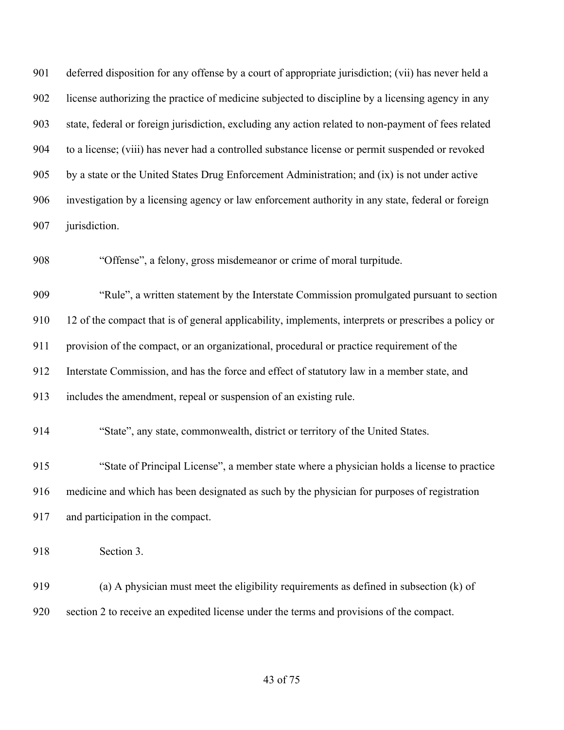deferred disposition for any offense by a court of appropriate jurisdiction; (vii) has never held a license authorizing the practice of medicine subjected to discipline by a licensing agency in any state, federal or foreign jurisdiction, excluding any action related to non-payment of fees related to a license; (viii) has never had a controlled substance license or permit suspended or revoked by a state or the United States Drug Enforcement Administration; and (ix) is not under active investigation by a licensing agency or law enforcement authority in any state, federal or foreign jurisdiction.

"Offense", a felony, gross misdemeanor or crime of moral turpitude.

 "Rule", a written statement by the Interstate Commission promulgated pursuant to section 12 of the compact that is of general applicability, implements, interprets or prescribes a policy or provision of the compact, or an organizational, procedural or practice requirement of the Interstate Commission, and has the force and effect of statutory law in a member state, and includes the amendment, repeal or suspension of an existing rule.

"State", any state, commonwealth, district or territory of the United States.

 "State of Principal License", a member state where a physician holds a license to practice medicine and which has been designated as such by the physician for purposes of registration and participation in the compact.

Section 3.

 (a) A physician must meet the eligibility requirements as defined in subsection (k) of section 2 to receive an expedited license under the terms and provisions of the compact.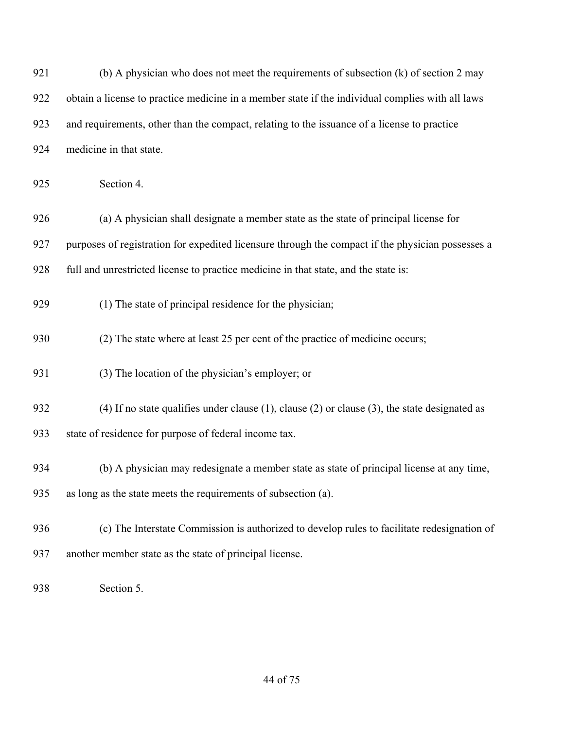| 921 | (b) A physician who does not meet the requirements of subsection (k) of section 2 may                   |
|-----|---------------------------------------------------------------------------------------------------------|
| 922 | obtain a license to practice medicine in a member state if the individual complies with all laws        |
| 923 | and requirements, other than the compact, relating to the issuance of a license to practice             |
| 924 | medicine in that state.                                                                                 |
| 925 | Section 4.                                                                                              |
| 926 | (a) A physician shall designate a member state as the state of principal license for                    |
| 927 | purposes of registration for expedited licensure through the compact if the physician possesses a       |
| 928 | full and unrestricted license to practice medicine in that state, and the state is:                     |
| 929 | (1) The state of principal residence for the physician;                                                 |
| 930 | (2) The state where at least 25 per cent of the practice of medicine occurs;                            |
| 931 | (3) The location of the physician's employer; or                                                        |
| 932 | $(4)$ If no state qualifies under clause $(1)$ , clause $(2)$ or clause $(3)$ , the state designated as |
| 933 | state of residence for purpose of federal income tax.                                                   |
| 934 | (b) A physician may redesignate a member state as state of principal license at any time,               |
| 935 | as long as the state meets the requirements of subsection (a).                                          |
| 936 | (c) The Interstate Commission is authorized to develop rules to facilitate redesignation of             |
| 937 | another member state as the state of principal license.                                                 |
| 938 | Section 5.                                                                                              |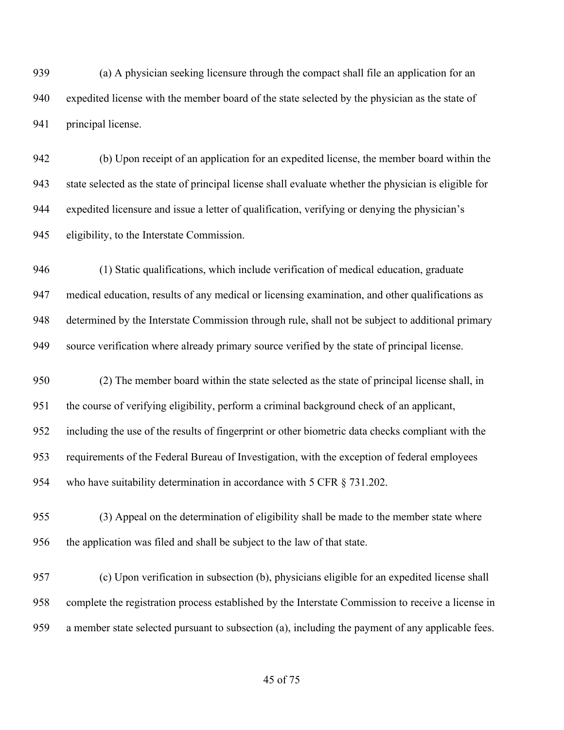(a) A physician seeking licensure through the compact shall file an application for an expedited license with the member board of the state selected by the physician as the state of principal license.

 (b) Upon receipt of an application for an expedited license, the member board within the state selected as the state of principal license shall evaluate whether the physician is eligible for expedited licensure and issue a letter of qualification, verifying or denying the physician's eligibility, to the Interstate Commission.

 (1) Static qualifications, which include verification of medical education, graduate medical education, results of any medical or licensing examination, and other qualifications as determined by the Interstate Commission through rule, shall not be subject to additional primary source verification where already primary source verified by the state of principal license.

 (2) The member board within the state selected as the state of principal license shall, in the course of verifying eligibility, perform a criminal background check of an applicant, including the use of the results of fingerprint or other biometric data checks compliant with the requirements of the Federal Bureau of Investigation, with the exception of federal employees 954 who have suitability determination in accordance with 5 CFR § 731.202.

 (3) Appeal on the determination of eligibility shall be made to the member state where the application was filed and shall be subject to the law of that state.

 (c) Upon verification in subsection (b), physicians eligible for an expedited license shall complete the registration process established by the Interstate Commission to receive a license in a member state selected pursuant to subsection (a), including the payment of any applicable fees.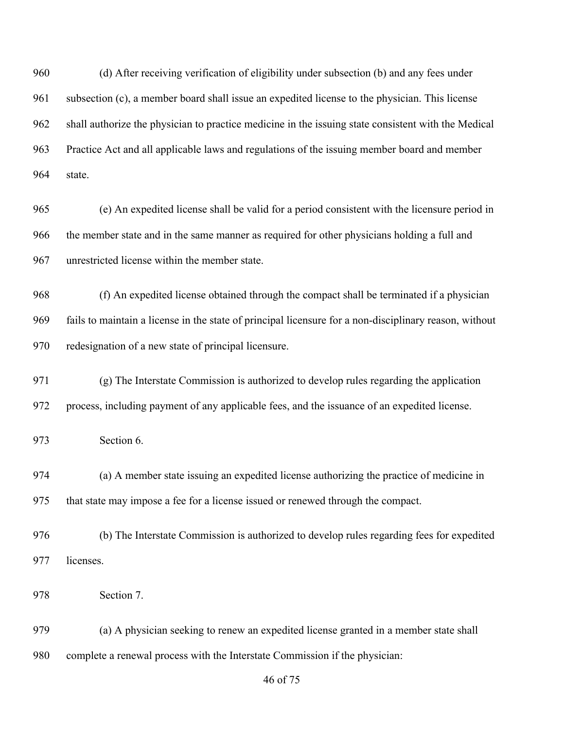(d) After receiving verification of eligibility under subsection (b) and any fees under subsection (c), a member board shall issue an expedited license to the physician. This license shall authorize the physician to practice medicine in the issuing state consistent with the Medical Practice Act and all applicable laws and regulations of the issuing member board and member state.

 (e) An expedited license shall be valid for a period consistent with the licensure period in the member state and in the same manner as required for other physicians holding a full and unrestricted license within the member state.

 (f) An expedited license obtained through the compact shall be terminated if a physician fails to maintain a license in the state of principal licensure for a non-disciplinary reason, without redesignation of a new state of principal licensure.

 (g) The Interstate Commission is authorized to develop rules regarding the application process, including payment of any applicable fees, and the issuance of an expedited license.

Section 6.

 (a) A member state issuing an expedited license authorizing the practice of medicine in that state may impose a fee for a license issued or renewed through the compact.

 (b) The Interstate Commission is authorized to develop rules regarding fees for expedited licenses.

Section 7.

 (a) A physician seeking to renew an expedited license granted in a member state shall complete a renewal process with the Interstate Commission if the physician: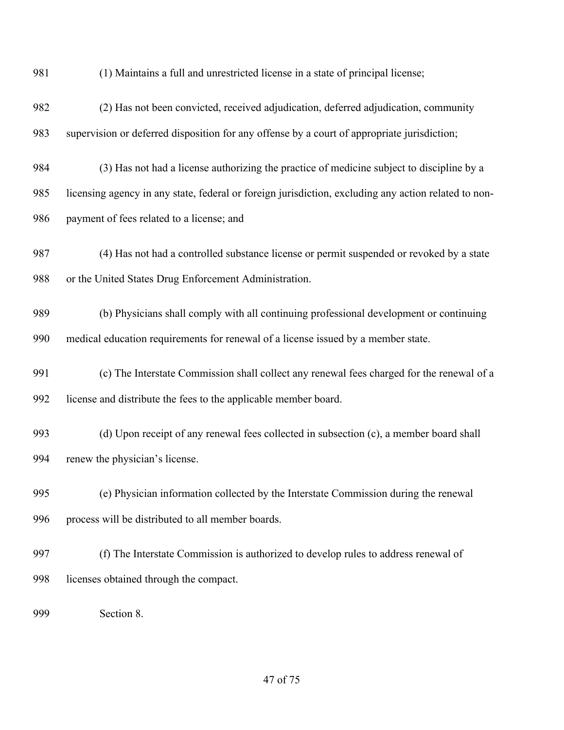(1) Maintains a full and unrestricted license in a state of principal license;

- (2) Has not been convicted, received adjudication, deferred adjudication, community supervision or deferred disposition for any offense by a court of appropriate jurisdiction;
- (3) Has not had a license authorizing the practice of medicine subject to discipline by a licensing agency in any state, federal or foreign jurisdiction, excluding any action related to non-payment of fees related to a license; and
- (4) Has not had a controlled substance license or permit suspended or revoked by a state or the United States Drug Enforcement Administration.
- (b) Physicians shall comply with all continuing professional development or continuing medical education requirements for renewal of a license issued by a member state.
- (c) The Interstate Commission shall collect any renewal fees charged for the renewal of a license and distribute the fees to the applicable member board.
- (d) Upon receipt of any renewal fees collected in subsection (c), a member board shall renew the physician's license.
- (e) Physician information collected by the Interstate Commission during the renewal process will be distributed to all member boards.
- (f) The Interstate Commission is authorized to develop rules to address renewal of licenses obtained through the compact.
- Section 8.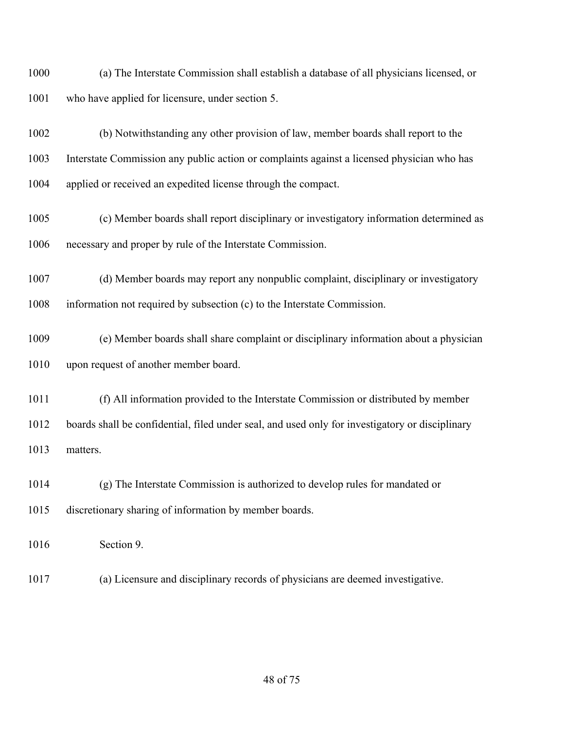(a) The Interstate Commission shall establish a database of all physicians licensed, or who have applied for licensure, under section 5.

 (b) Notwithstanding any other provision of law, member boards shall report to the Interstate Commission any public action or complaints against a licensed physician who has applied or received an expedited license through the compact.

 (c) Member boards shall report disciplinary or investigatory information determined as necessary and proper by rule of the Interstate Commission.

 (d) Member boards may report any nonpublic complaint, disciplinary or investigatory information not required by subsection (c) to the Interstate Commission.

 (e) Member boards shall share complaint or disciplinary information about a physician upon request of another member board.

 (f) All information provided to the Interstate Commission or distributed by member boards shall be confidential, filed under seal, and used only for investigatory or disciplinary matters.

 (g) The Interstate Commission is authorized to develop rules for mandated or discretionary sharing of information by member boards.

Section 9.

(a) Licensure and disciplinary records of physicians are deemed investigative.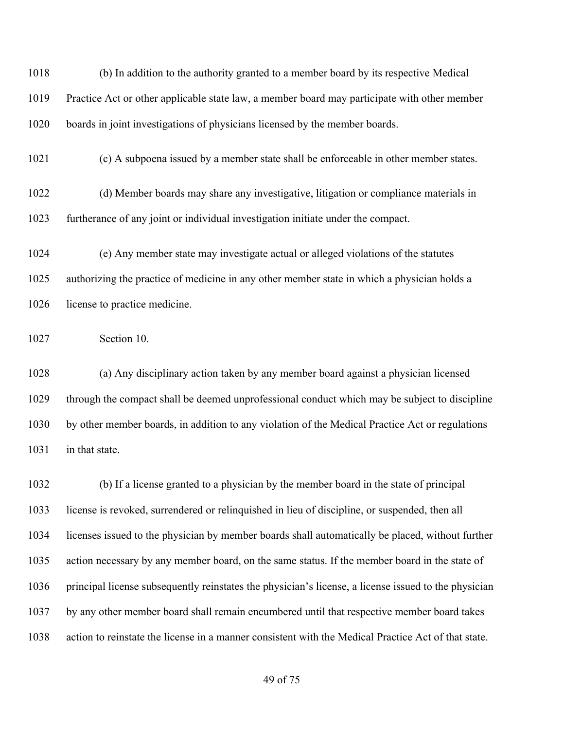(b) In addition to the authority granted to a member board by its respective Medical Practice Act or other applicable state law, a member board may participate with other member boards in joint investigations of physicians licensed by the member boards.

(c) A subpoena issued by a member state shall be enforceable in other member states.

 (d) Member boards may share any investigative, litigation or compliance materials in furtherance of any joint or individual investigation initiate under the compact.

 (e) Any member state may investigate actual or alleged violations of the statutes authorizing the practice of medicine in any other member state in which a physician holds a 1026 license to practice medicine.

Section 10.

 (a) Any disciplinary action taken by any member board against a physician licensed through the compact shall be deemed unprofessional conduct which may be subject to discipline by other member boards, in addition to any violation of the Medical Practice Act or regulations in that state.

 (b) If a license granted to a physician by the member board in the state of principal license is revoked, surrendered or relinquished in lieu of discipline, or suspended, then all licenses issued to the physician by member boards shall automatically be placed, without further action necessary by any member board, on the same status. If the member board in the state of principal license subsequently reinstates the physician's license, a license issued to the physician by any other member board shall remain encumbered until that respective member board takes action to reinstate the license in a manner consistent with the Medical Practice Act of that state.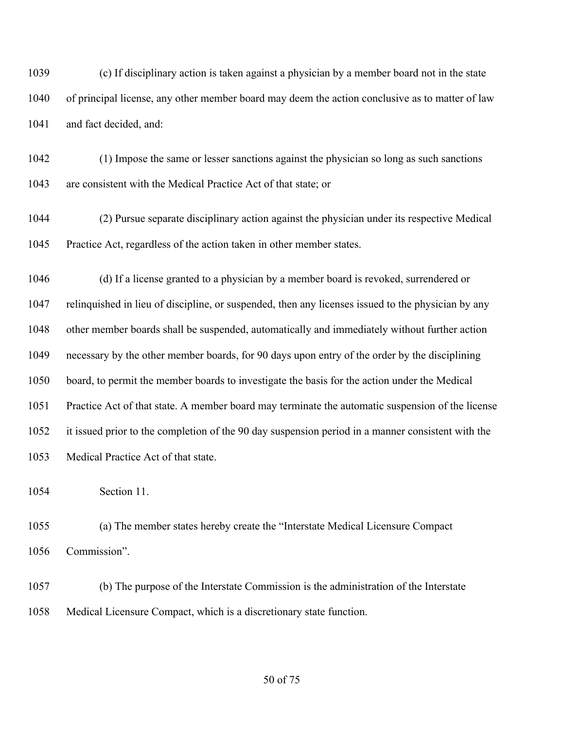(c) If disciplinary action is taken against a physician by a member board not in the state of principal license, any other member board may deem the action conclusive as to matter of law and fact decided, and:

 (1) Impose the same or lesser sanctions against the physician so long as such sanctions are consistent with the Medical Practice Act of that state; or

 (2) Pursue separate disciplinary action against the physician under its respective Medical Practice Act, regardless of the action taken in other member states.

 (d) If a license granted to a physician by a member board is revoked, surrendered or relinquished in lieu of discipline, or suspended, then any licenses issued to the physician by any other member boards shall be suspended, automatically and immediately without further action necessary by the other member boards, for 90 days upon entry of the order by the disciplining board, to permit the member boards to investigate the basis for the action under the Medical Practice Act of that state. A member board may terminate the automatic suspension of the license it issued prior to the completion of the 90 day suspension period in a manner consistent with the Medical Practice Act of that state.

Section 11.

 (a) The member states hereby create the "Interstate Medical Licensure Compact Commission".

 (b) The purpose of the Interstate Commission is the administration of the Interstate Medical Licensure Compact, which is a discretionary state function.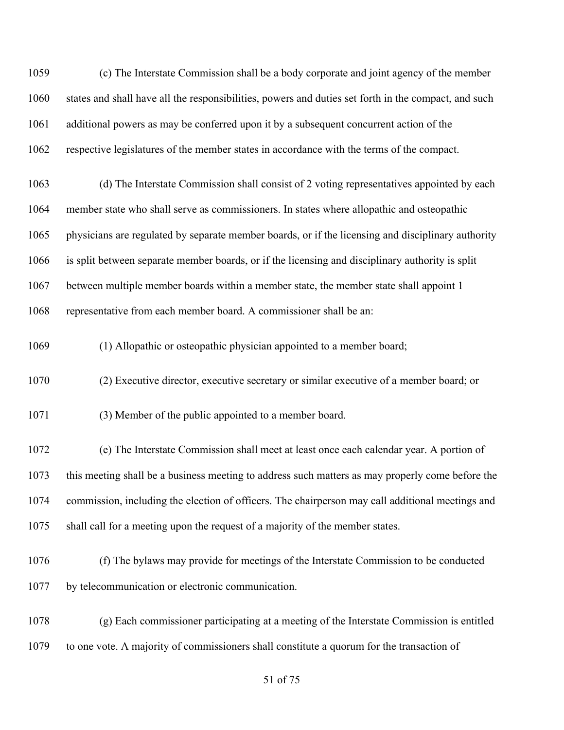(c) The Interstate Commission shall be a body corporate and joint agency of the member states and shall have all the responsibilities, powers and duties set forth in the compact, and such additional powers as may be conferred upon it by a subsequent concurrent action of the respective legislatures of the member states in accordance with the terms of the compact.

 (d) The Interstate Commission shall consist of 2 voting representatives appointed by each member state who shall serve as commissioners. In states where allopathic and osteopathic physicians are regulated by separate member boards, or if the licensing and disciplinary authority is split between separate member boards, or if the licensing and disciplinary authority is split between multiple member boards within a member state, the member state shall appoint 1 representative from each member board. A commissioner shall be an:

(1) Allopathic or osteopathic physician appointed to a member board;

(2) Executive director, executive secretary or similar executive of a member board; or

(3) Member of the public appointed to a member board.

 (e) The Interstate Commission shall meet at least once each calendar year. A portion of this meeting shall be a business meeting to address such matters as may properly come before the commission, including the election of officers. The chairperson may call additional meetings and shall call for a meeting upon the request of a majority of the member states.

 (f) The bylaws may provide for meetings of the Interstate Commission to be conducted by telecommunication or electronic communication.

 (g) Each commissioner participating at a meeting of the Interstate Commission is entitled to one vote. A majority of commissioners shall constitute a quorum for the transaction of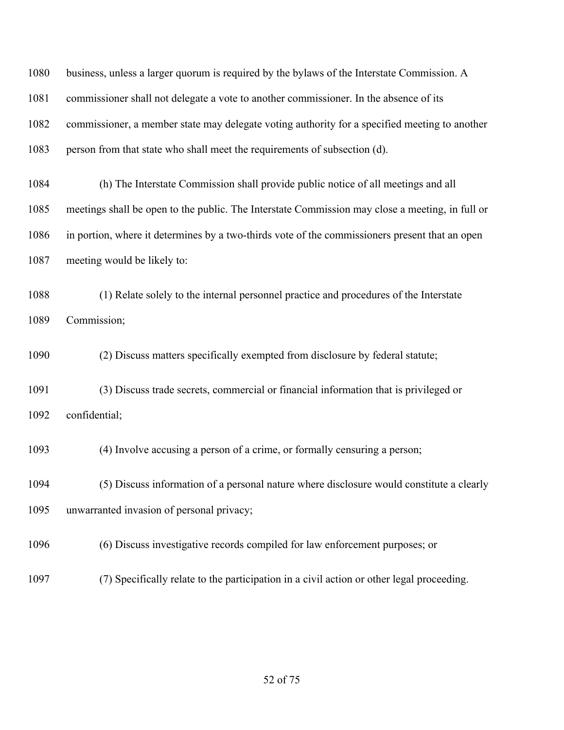business, unless a larger quorum is required by the bylaws of the Interstate Commission. A commissioner shall not delegate a vote to another commissioner. In the absence of its commissioner, a member state may delegate voting authority for a specified meeting to another person from that state who shall meet the requirements of subsection (d). (h) The Interstate Commission shall provide public notice of all meetings and all meetings shall be open to the public. The Interstate Commission may close a meeting, in full or

 in portion, where it determines by a two-thirds vote of the commissioners present that an open meeting would be likely to:

 (1) Relate solely to the internal personnel practice and procedures of the Interstate Commission;

(2) Discuss matters specifically exempted from disclosure by federal statute;

 (3) Discuss trade secrets, commercial or financial information that is privileged or confidential;

(4) Involve accusing a person of a crime, or formally censuring a person;

 (5) Discuss information of a personal nature where disclosure would constitute a clearly unwarranted invasion of personal privacy;

(6) Discuss investigative records compiled for law enforcement purposes; or

(7) Specifically relate to the participation in a civil action or other legal proceeding.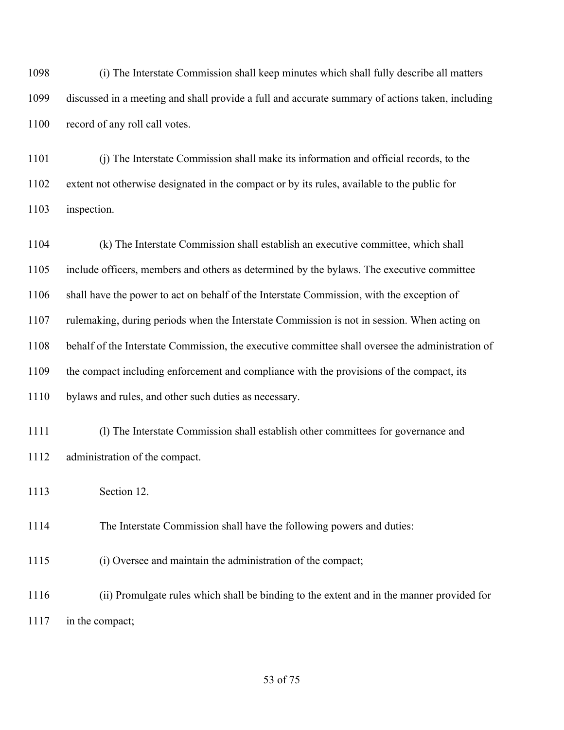(i) The Interstate Commission shall keep minutes which shall fully describe all matters discussed in a meeting and shall provide a full and accurate summary of actions taken, including 1100 record of any roll call votes.

 (j) The Interstate Commission shall make its information and official records, to the extent not otherwise designated in the compact or by its rules, available to the public for inspection.

 (k) The Interstate Commission shall establish an executive committee, which shall include officers, members and others as determined by the bylaws. The executive committee shall have the power to act on behalf of the Interstate Commission, with the exception of rulemaking, during periods when the Interstate Commission is not in session. When acting on behalf of the Interstate Commission, the executive committee shall oversee the administration of the compact including enforcement and compliance with the provisions of the compact, its bylaws and rules, and other such duties as necessary.

 (l) The Interstate Commission shall establish other committees for governance and administration of the compact.

Section 12.

The Interstate Commission shall have the following powers and duties:

(i) Oversee and maintain the administration of the compact;

 (ii) Promulgate rules which shall be binding to the extent and in the manner provided for in the compact;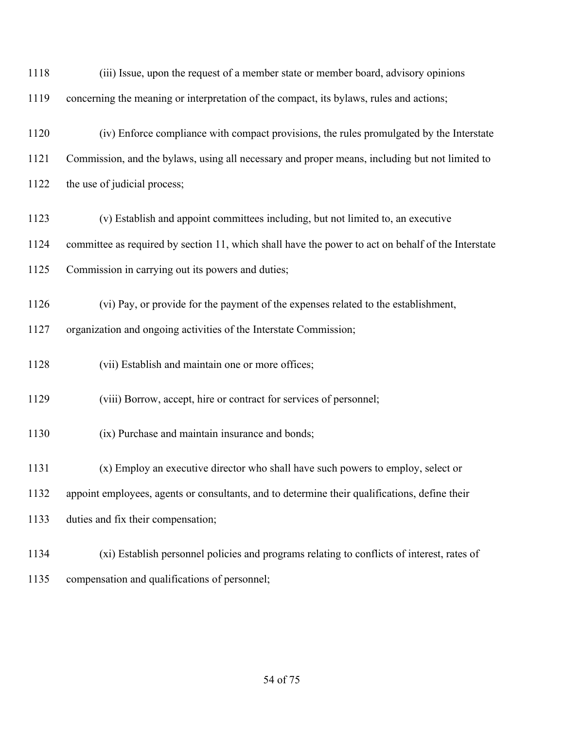| 1118 | (iii) Issue, upon the request of a member state or member board, advisory opinions                 |
|------|----------------------------------------------------------------------------------------------------|
| 1119 | concerning the meaning or interpretation of the compact, its bylaws, rules and actions;            |
| 1120 | (iv) Enforce compliance with compact provisions, the rules promulgated by the Interstate           |
| 1121 | Commission, and the bylaws, using all necessary and proper means, including but not limited to     |
| 1122 | the use of judicial process;                                                                       |
| 1123 | (v) Establish and appoint committees including, but not limited to, an executive                   |
| 1124 | committee as required by section 11, which shall have the power to act on behalf of the Interstate |
| 1125 | Commission in carrying out its powers and duties;                                                  |
| 1126 | (vi) Pay, or provide for the payment of the expenses related to the establishment,                 |
| 1127 | organization and ongoing activities of the Interstate Commission;                                  |
| 1128 | (vii) Establish and maintain one or more offices;                                                  |
| 1129 | (viii) Borrow, accept, hire or contract for services of personnel;                                 |
| 1130 | (ix) Purchase and maintain insurance and bonds;                                                    |
| 1131 | (x) Employ an executive director who shall have such powers to employ, select or                   |
| 1132 | appoint employees, agents or consultants, and to determine their qualifications, define their      |
| 1133 | duties and fix their compensation;                                                                 |
| 1134 | (xi) Establish personnel policies and programs relating to conflicts of interest, rates of         |
| 1135 | compensation and qualifications of personnel;                                                      |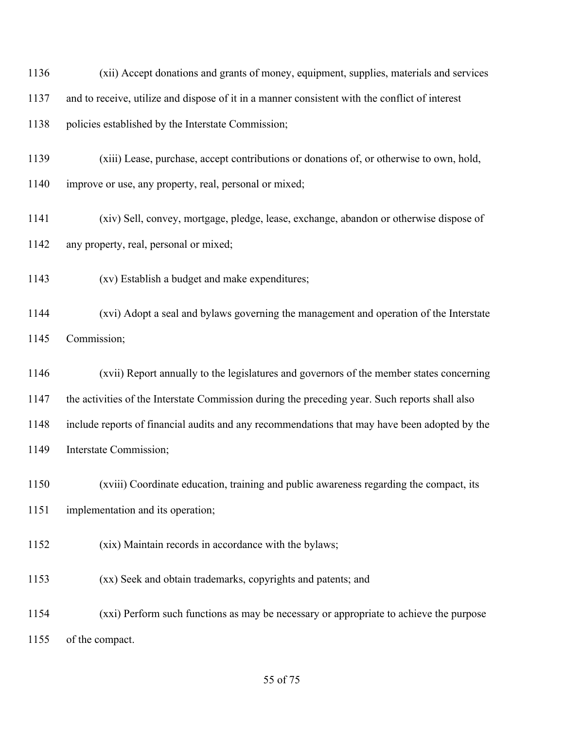(xii) Accept donations and grants of money, equipment, supplies, materials and services and to receive, utilize and dispose of it in a manner consistent with the conflict of interest policies established by the Interstate Commission;

 (xiii) Lease, purchase, accept contributions or donations of, or otherwise to own, hold, improve or use, any property, real, personal or mixed;

 (xiv) Sell, convey, mortgage, pledge, lease, exchange, abandon or otherwise dispose of any property, real, personal or mixed;

(xv) Establish a budget and make expenditures;

 (xvi) Adopt a seal and bylaws governing the management and operation of the Interstate Commission;

 (xvii) Report annually to the legislatures and governors of the member states concerning the activities of the Interstate Commission during the preceding year. Such reports shall also include reports of financial audits and any recommendations that may have been adopted by the Interstate Commission;

(xviii) Coordinate education, training and public awareness regarding the compact, its

implementation and its operation;

(xix) Maintain records in accordance with the bylaws;

(xx) Seek and obtain trademarks, copyrights and patents; and

 (xxi) Perform such functions as may be necessary or appropriate to achieve the purpose of the compact.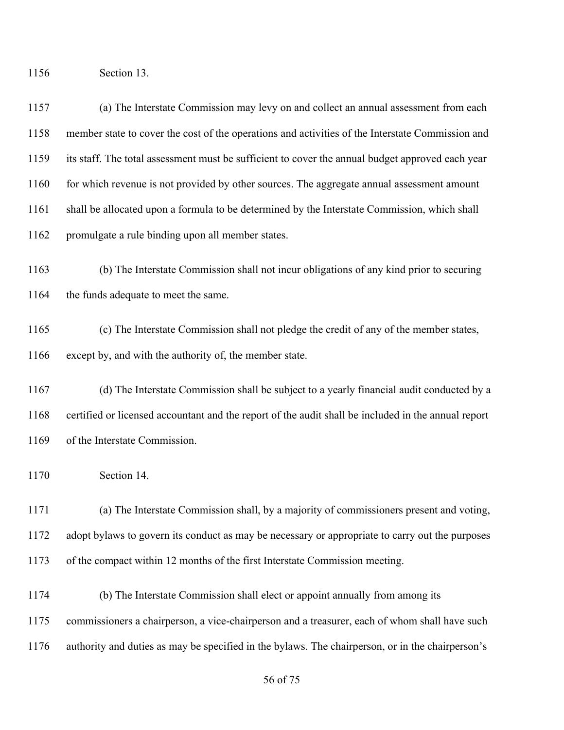Section 13.

 (a) The Interstate Commission may levy on and collect an annual assessment from each member state to cover the cost of the operations and activities of the Interstate Commission and its staff. The total assessment must be sufficient to cover the annual budget approved each year 1160 for which revenue is not provided by other sources. The aggregate annual assessment amount shall be allocated upon a formula to be determined by the Interstate Commission, which shall promulgate a rule binding upon all member states.

 (b) The Interstate Commission shall not incur obligations of any kind prior to securing 1164 the funds adequate to meet the same.

 (c) The Interstate Commission shall not pledge the credit of any of the member states, except by, and with the authority of, the member state.

 (d) The Interstate Commission shall be subject to a yearly financial audit conducted by a certified or licensed accountant and the report of the audit shall be included in the annual report of the Interstate Commission.

Section 14.

 (a) The Interstate Commission shall, by a majority of commissioners present and voting, adopt bylaws to govern its conduct as may be necessary or appropriate to carry out the purposes of the compact within 12 months of the first Interstate Commission meeting.

 (b) The Interstate Commission shall elect or appoint annually from among its commissioners a chairperson, a vice-chairperson and a treasurer, each of whom shall have such authority and duties as may be specified in the bylaws. The chairperson, or in the chairperson's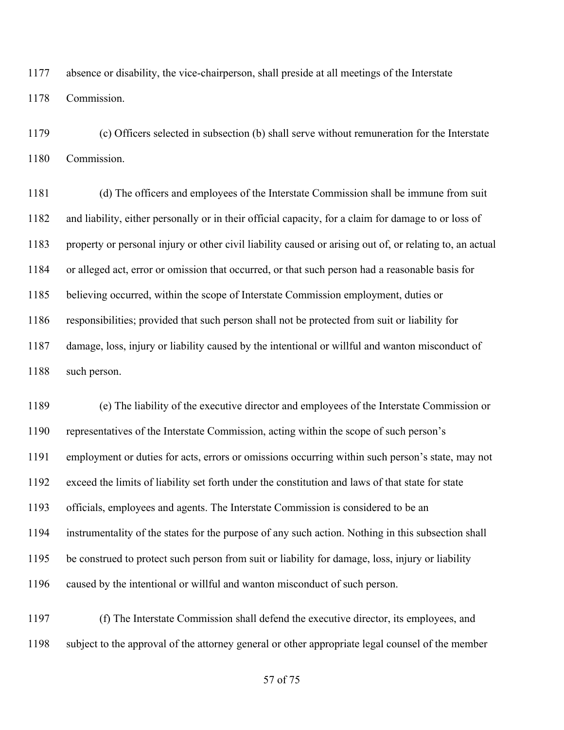absence or disability, the vice-chairperson, shall preside at all meetings of the Interstate Commission.

 (c) Officers selected in subsection (b) shall serve without remuneration for the Interstate Commission.

 (d) The officers and employees of the Interstate Commission shall be immune from suit and liability, either personally or in their official capacity, for a claim for damage to or loss of property or personal injury or other civil liability caused or arising out of, or relating to, an actual or alleged act, error or omission that occurred, or that such person had a reasonable basis for believing occurred, within the scope of Interstate Commission employment, duties or responsibilities; provided that such person shall not be protected from suit or liability for damage, loss, injury or liability caused by the intentional or willful and wanton misconduct of such person.

 (e) The liability of the executive director and employees of the Interstate Commission or representatives of the Interstate Commission, acting within the scope of such person's employment or duties for acts, errors or omissions occurring within such person's state, may not exceed the limits of liability set forth under the constitution and laws of that state for state officials, employees and agents. The Interstate Commission is considered to be an instrumentality of the states for the purpose of any such action. Nothing in this subsection shall be construed to protect such person from suit or liability for damage, loss, injury or liability caused by the intentional or willful and wanton misconduct of such person.

 (f) The Interstate Commission shall defend the executive director, its employees, and subject to the approval of the attorney general or other appropriate legal counsel of the member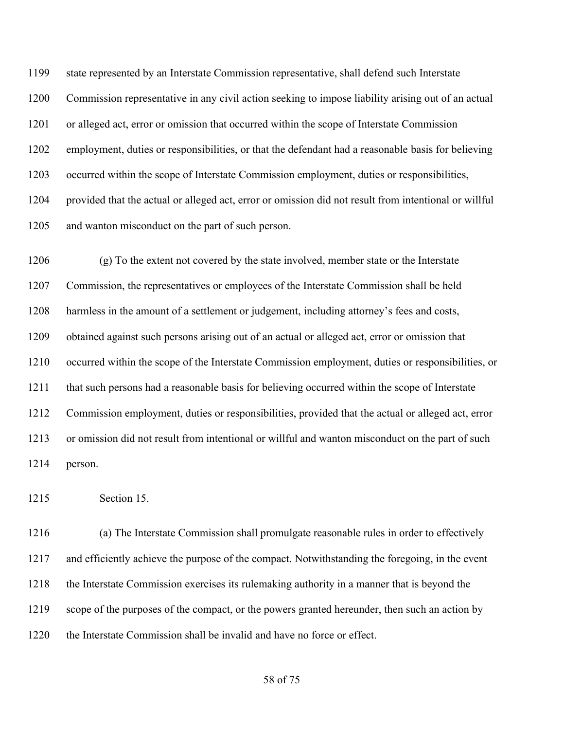state represented by an Interstate Commission representative, shall defend such Interstate Commission representative in any civil action seeking to impose liability arising out of an actual or alleged act, error or omission that occurred within the scope of Interstate Commission employment, duties or responsibilities, or that the defendant had a reasonable basis for believing occurred within the scope of Interstate Commission employment, duties or responsibilities, provided that the actual or alleged act, error or omission did not result from intentional or willful 1205 and wanton misconduct on the part of such person.

 (g) To the extent not covered by the state involved, member state or the Interstate Commission, the representatives or employees of the Interstate Commission shall be held harmless in the amount of a settlement or judgement, including attorney's fees and costs, obtained against such persons arising out of an actual or alleged act, error or omission that occurred within the scope of the Interstate Commission employment, duties or responsibilities, or that such persons had a reasonable basis for believing occurred within the scope of Interstate Commission employment, duties or responsibilities, provided that the actual or alleged act, error or omission did not result from intentional or willful and wanton misconduct on the part of such person.

Section 15.

 (a) The Interstate Commission shall promulgate reasonable rules in order to effectively and efficiently achieve the purpose of the compact. Notwithstanding the foregoing, in the event the Interstate Commission exercises its rulemaking authority in a manner that is beyond the scope of the purposes of the compact, or the powers granted hereunder, then such an action by the Interstate Commission shall be invalid and have no force or effect.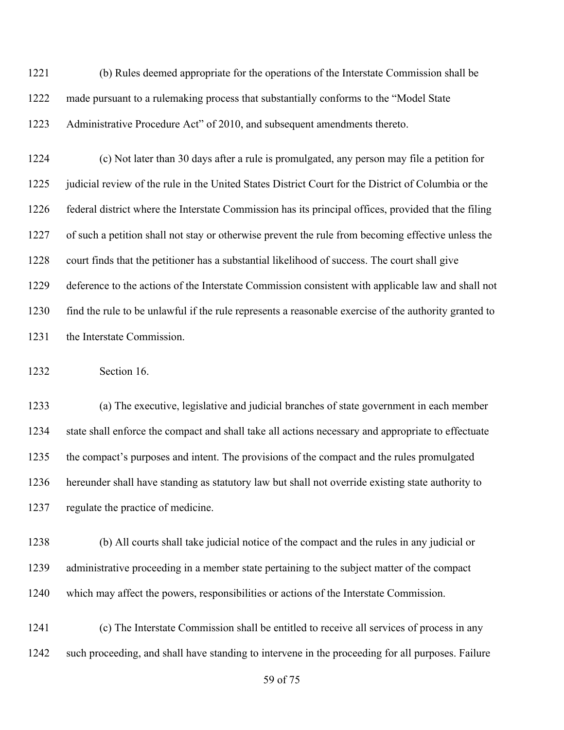(b) Rules deemed appropriate for the operations of the Interstate Commission shall be made pursuant to a rulemaking process that substantially conforms to the "Model State Administrative Procedure Act" of 2010, and subsequent amendments thereto.

 (c) Not later than 30 days after a rule is promulgated, any person may file a petition for 1225 judicial review of the rule in the United States District Court for the District of Columbia or the federal district where the Interstate Commission has its principal offices, provided that the filing of such a petition shall not stay or otherwise prevent the rule from becoming effective unless the court finds that the petitioner has a substantial likelihood of success. The court shall give deference to the actions of the Interstate Commission consistent with applicable law and shall not find the rule to be unlawful if the rule represents a reasonable exercise of the authority granted to the Interstate Commission.

Section 16.

 (a) The executive, legislative and judicial branches of state government in each member state shall enforce the compact and shall take all actions necessary and appropriate to effectuate the compact's purposes and intent. The provisions of the compact and the rules promulgated hereunder shall have standing as statutory law but shall not override existing state authority to regulate the practice of medicine.

 (b) All courts shall take judicial notice of the compact and the rules in any judicial or administrative proceeding in a member state pertaining to the subject matter of the compact which may affect the powers, responsibilities or actions of the Interstate Commission.

 (c) The Interstate Commission shall be entitled to receive all services of process in any such proceeding, and shall have standing to intervene in the proceeding for all purposes. Failure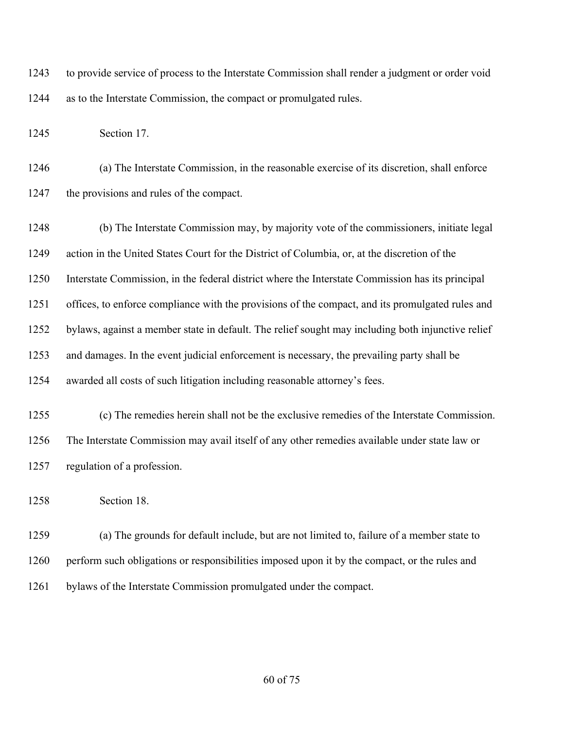to provide service of process to the Interstate Commission shall render a judgment or order void as to the Interstate Commission, the compact or promulgated rules.

Section 17.

 (a) The Interstate Commission, in the reasonable exercise of its discretion, shall enforce the provisions and rules of the compact.

 (b) The Interstate Commission may, by majority vote of the commissioners, initiate legal action in the United States Court for the District of Columbia, or, at the discretion of the Interstate Commission, in the federal district where the Interstate Commission has its principal offices, to enforce compliance with the provisions of the compact, and its promulgated rules and bylaws, against a member state in default. The relief sought may including both injunctive relief and damages. In the event judicial enforcement is necessary, the prevailing party shall be awarded all costs of such litigation including reasonable attorney's fees.

 (c) The remedies herein shall not be the exclusive remedies of the Interstate Commission. The Interstate Commission may avail itself of any other remedies available under state law or regulation of a profession.

Section 18.

 (a) The grounds for default include, but are not limited to, failure of a member state to perform such obligations or responsibilities imposed upon it by the compact, or the rules and bylaws of the Interstate Commission promulgated under the compact.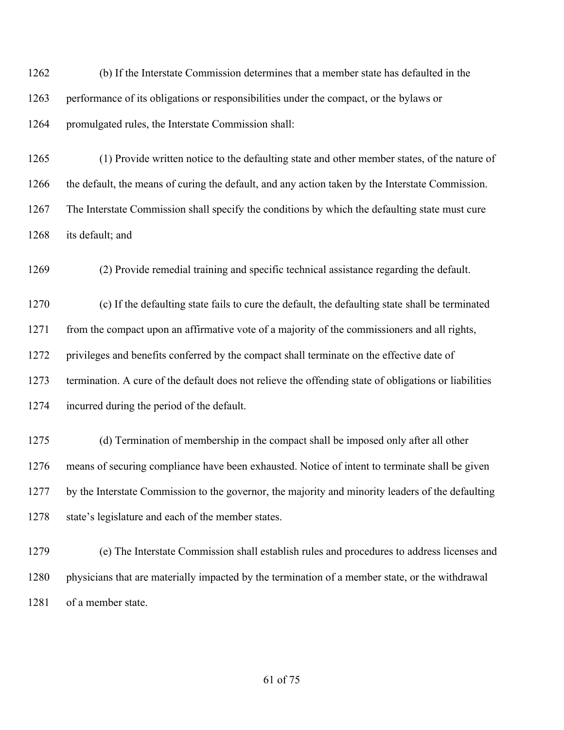(b) If the Interstate Commission determines that a member state has defaulted in the performance of its obligations or responsibilities under the compact, or the bylaws or promulgated rules, the Interstate Commission shall:

 (1) Provide written notice to the defaulting state and other member states, of the nature of the default, the means of curing the default, and any action taken by the Interstate Commission. The Interstate Commission shall specify the conditions by which the defaulting state must cure its default; and

(2) Provide remedial training and specific technical assistance regarding the default.

 (c) If the defaulting state fails to cure the default, the defaulting state shall be terminated 1271 from the compact upon an affirmative vote of a majority of the commissioners and all rights, privileges and benefits conferred by the compact shall terminate on the effective date of termination. A cure of the default does not relieve the offending state of obligations or liabilities incurred during the period of the default.

 (d) Termination of membership in the compact shall be imposed only after all other means of securing compliance have been exhausted. Notice of intent to terminate shall be given by the Interstate Commission to the governor, the majority and minority leaders of the defaulting 1278 state's legislature and each of the member states.

 (e) The Interstate Commission shall establish rules and procedures to address licenses and physicians that are materially impacted by the termination of a member state, or the withdrawal of a member state.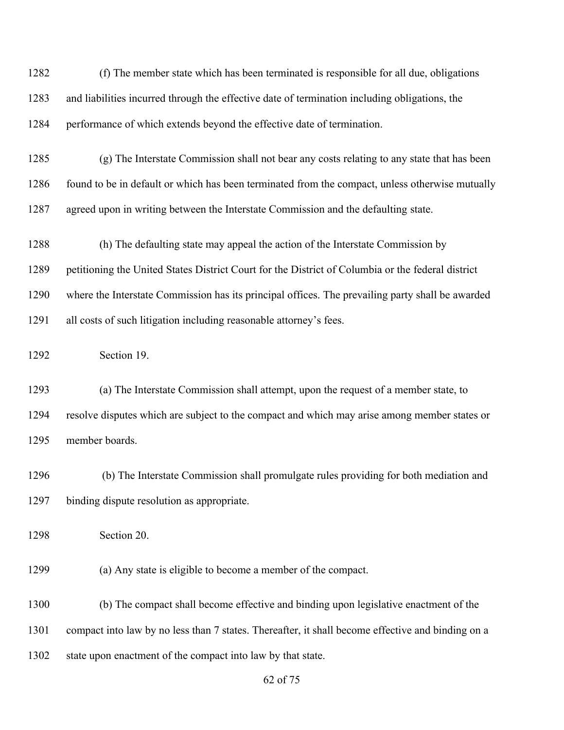(f) The member state which has been terminated is responsible for all due, obligations and liabilities incurred through the effective date of termination including obligations, the performance of which extends beyond the effective date of termination. (g) The Interstate Commission shall not bear any costs relating to any state that has been 1286 found to be in default or which has been terminated from the compact, unless otherwise mutually agreed upon in writing between the Interstate Commission and the defaulting state. (h) The defaulting state may appeal the action of the Interstate Commission by petitioning the United States District Court for the District of Columbia or the federal district where the Interstate Commission has its principal offices. The prevailing party shall be awarded all costs of such litigation including reasonable attorney's fees. Section 19. (a) The Interstate Commission shall attempt, upon the request of a member state, to resolve disputes which are subject to the compact and which may arise among member states or member boards. (b) The Interstate Commission shall promulgate rules providing for both mediation and binding dispute resolution as appropriate. Section 20. (a) Any state is eligible to become a member of the compact. (b) The compact shall become effective and binding upon legislative enactment of the compact into law by no less than 7 states. Thereafter, it shall become effective and binding on a state upon enactment of the compact into law by that state.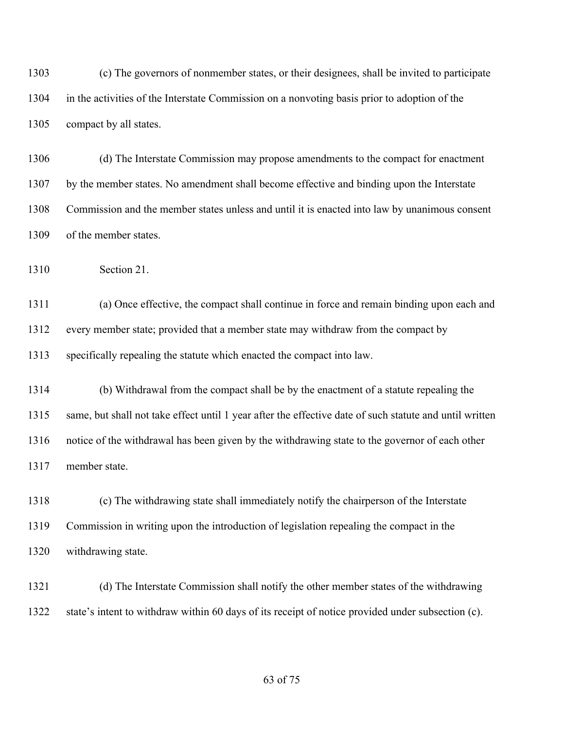(c) The governors of nonmember states, or their designees, shall be invited to participate in the activities of the Interstate Commission on a nonvoting basis prior to adoption of the compact by all states.

 (d) The Interstate Commission may propose amendments to the compact for enactment by the member states. No amendment shall become effective and binding upon the Interstate Commission and the member states unless and until it is enacted into law by unanimous consent of the member states.

Section 21.

 (a) Once effective, the compact shall continue in force and remain binding upon each and every member state; provided that a member state may withdraw from the compact by specifically repealing the statute which enacted the compact into law.

 (b) Withdrawal from the compact shall be by the enactment of a statute repealing the same, but shall not take effect until 1 year after the effective date of such statute and until written notice of the withdrawal has been given by the withdrawing state to the governor of each other member state.

 (c) The withdrawing state shall immediately notify the chairperson of the Interstate Commission in writing upon the introduction of legislation repealing the compact in the withdrawing state.

 (d) The Interstate Commission shall notify the other member states of the withdrawing state's intent to withdraw within 60 days of its receipt of notice provided under subsection (c).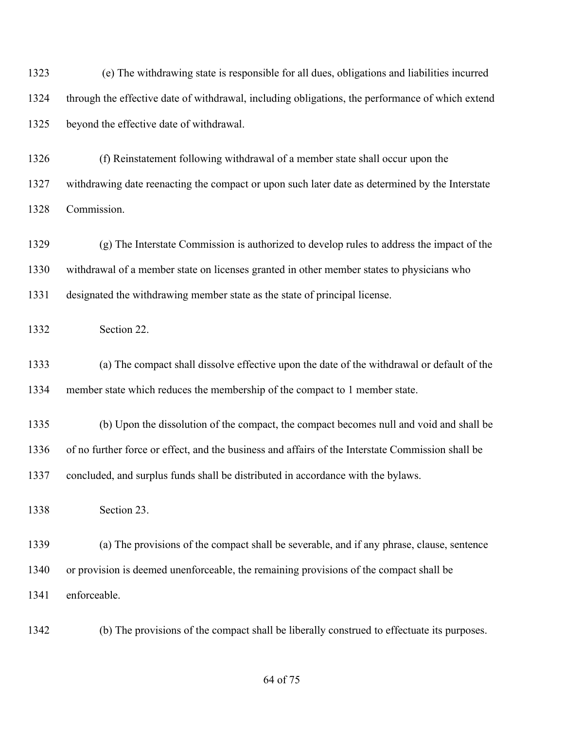(e) The withdrawing state is responsible for all dues, obligations and liabilities incurred through the effective date of withdrawal, including obligations, the performance of which extend beyond the effective date of withdrawal.

 (f) Reinstatement following withdrawal of a member state shall occur upon the withdrawing date reenacting the compact or upon such later date as determined by the Interstate Commission.

 (g) The Interstate Commission is authorized to develop rules to address the impact of the withdrawal of a member state on licenses granted in other member states to physicians who designated the withdrawing member state as the state of principal license.

Section 22.

 (a) The compact shall dissolve effective upon the date of the withdrawal or default of the member state which reduces the membership of the compact to 1 member state.

 (b) Upon the dissolution of the compact, the compact becomes null and void and shall be of no further force or effect, and the business and affairs of the Interstate Commission shall be concluded, and surplus funds shall be distributed in accordance with the bylaws.

Section 23.

 (a) The provisions of the compact shall be severable, and if any phrase, clause, sentence or provision is deemed unenforceable, the remaining provisions of the compact shall be enforceable.

(b) The provisions of the compact shall be liberally construed to effectuate its purposes.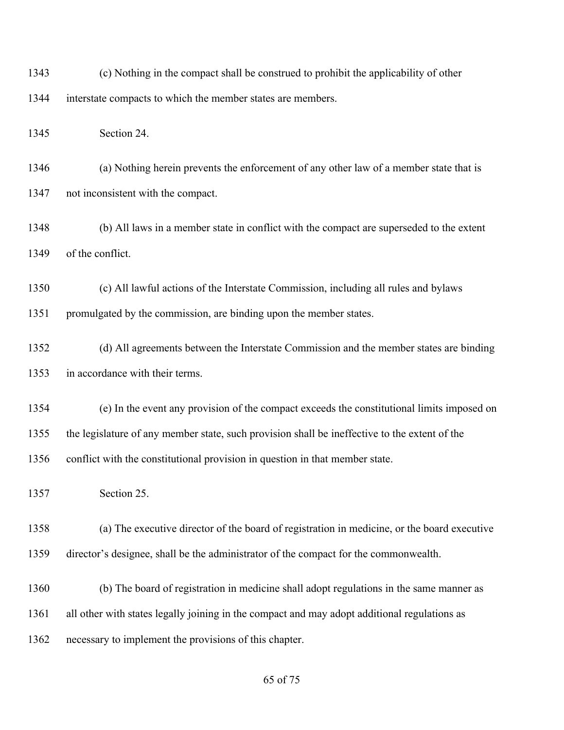(c) Nothing in the compact shall be construed to prohibit the applicability of other interstate compacts to which the member states are members.

Section 24.

 (a) Nothing herein prevents the enforcement of any other law of a member state that is not inconsistent with the compact.

 (b) All laws in a member state in conflict with the compact are superseded to the extent of the conflict.

 (c) All lawful actions of the Interstate Commission, including all rules and bylaws promulgated by the commission, are binding upon the member states.

 (d) All agreements between the Interstate Commission and the member states are binding in accordance with their terms.

 (e) In the event any provision of the compact exceeds the constitutional limits imposed on the legislature of any member state, such provision shall be ineffective to the extent of the conflict with the constitutional provision in question in that member state.

Section 25.

 (a) The executive director of the board of registration in medicine, or the board executive director's designee, shall be the administrator of the compact for the commonwealth.

(b) The board of registration in medicine shall adopt regulations in the same manner as

all other with states legally joining in the compact and may adopt additional regulations as

necessary to implement the provisions of this chapter.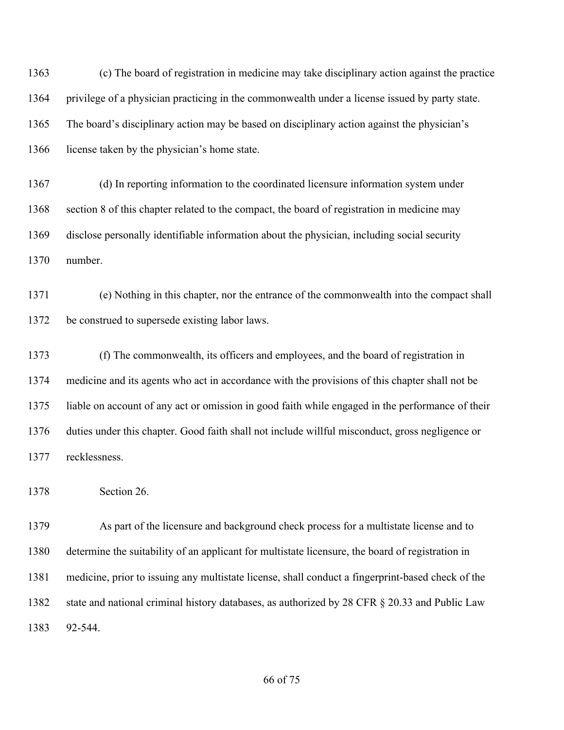(c) The board of registration in medicine may take disciplinary action against the practice privilege of a physician practicing in the commonwealth under a license issued by party state. The board's disciplinary action may be based on disciplinary action against the physician's license taken by the physician's home state.

 (d) In reporting information to the coordinated licensure information system under section 8 of this chapter related to the compact, the board of registration in medicine may disclose personally identifiable information about the physician, including social security number.

 (e) Nothing in this chapter, nor the entrance of the commonwealth into the compact shall be construed to supersede existing labor laws.

 (f) The commonwealth, its officers and employees, and the board of registration in medicine and its agents who act in accordance with the provisions of this chapter shall not be liable on account of any act or omission in good faith while engaged in the performance of their duties under this chapter. Good faith shall not include willful misconduct, gross negligence or recklessness.

Section 26.

 As part of the licensure and background check process for a multistate license and to determine the suitability of an applicant for multistate licensure, the board of registration in medicine, prior to issuing any multistate license, shall conduct a fingerprint-based check of the 1382 state and national criminal history databases, as authorized by 28 CFR § 20.33 and Public Law 92-544.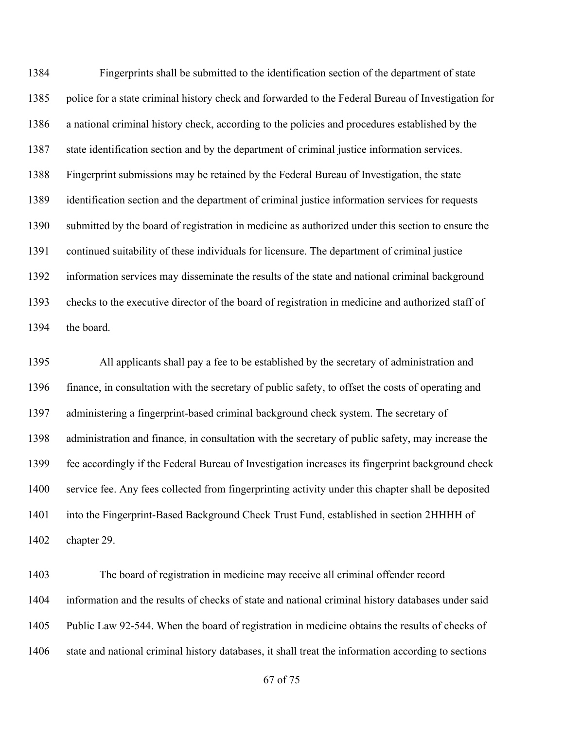Fingerprints shall be submitted to the identification section of the department of state police for a state criminal history check and forwarded to the Federal Bureau of Investigation for a national criminal history check, according to the policies and procedures established by the state identification section and by the department of criminal justice information services. Fingerprint submissions may be retained by the Federal Bureau of Investigation, the state identification section and the department of criminal justice information services for requests submitted by the board of registration in medicine as authorized under this section to ensure the continued suitability of these individuals for licensure. The department of criminal justice information services may disseminate the results of the state and national criminal background checks to the executive director of the board of registration in medicine and authorized staff of the board.

 All applicants shall pay a fee to be established by the secretary of administration and finance, in consultation with the secretary of public safety, to offset the costs of operating and administering a fingerprint-based criminal background check system. The secretary of administration and finance, in consultation with the secretary of public safety, may increase the fee accordingly if the Federal Bureau of Investigation increases its fingerprint background check service fee. Any fees collected from fingerprinting activity under this chapter shall be deposited into the Fingerprint-Based Background Check Trust Fund, established in section 2HHHH of chapter 29.

 The board of registration in medicine may receive all criminal offender record information and the results of checks of state and national criminal history databases under said Public Law 92-544. When the board of registration in medicine obtains the results of checks of state and national criminal history databases, it shall treat the information according to sections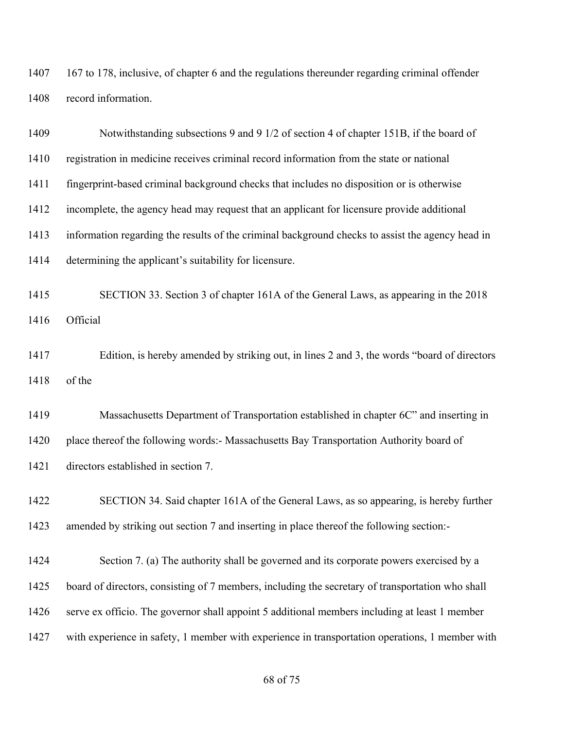167 to 178, inclusive, of chapter 6 and the regulations thereunder regarding criminal offender record information.

| 1409 | Notwithstanding subsections 9 and 9 1/2 of section 4 of chapter 151B, if the board of            |
|------|--------------------------------------------------------------------------------------------------|
| 1410 | registration in medicine receives criminal record information from the state or national         |
| 1411 | fingerprint-based criminal background checks that includes no disposition or is otherwise        |
| 1412 | incomplete, the agency head may request that an applicant for licensure provide additional       |
| 1413 | information regarding the results of the criminal background checks to assist the agency head in |
| 1414 | determining the applicant's suitability for licensure.                                           |
| 1415 | SECTION 33. Section 3 of chapter 161A of the General Laws, as appearing in the 2018              |
| 1416 | Official                                                                                         |
| 1417 | Edition, is hereby amended by striking out, in lines 2 and 3, the words "board of directors"     |
| 1418 | of the                                                                                           |
| 1419 | Massachusetts Department of Transportation established in chapter 6C" and inserting in           |
| 1420 | place thereof the following words:- Massachusetts Bay Transportation Authority board of          |
| 1421 | directors established in section 7.                                                              |
| 1422 | SECTION 34. Said chapter 161A of the General Laws, as so appearing, is hereby further            |
| 1423 | amended by striking out section 7 and inserting in place thereof the following section:-         |
| 1424 | Section 7. (a) The authority shall be governed and its corporate powers exercised by a           |
| 1425 | board of directors, consisting of 7 members, including the secretary of transportation who shall |
| 1426 | serve ex officio. The governor shall appoint 5 additional members including at least 1 member    |
| 1427 | with experience in safety, 1 member with experience in transportation operations, 1 member with  |
|      |                                                                                                  |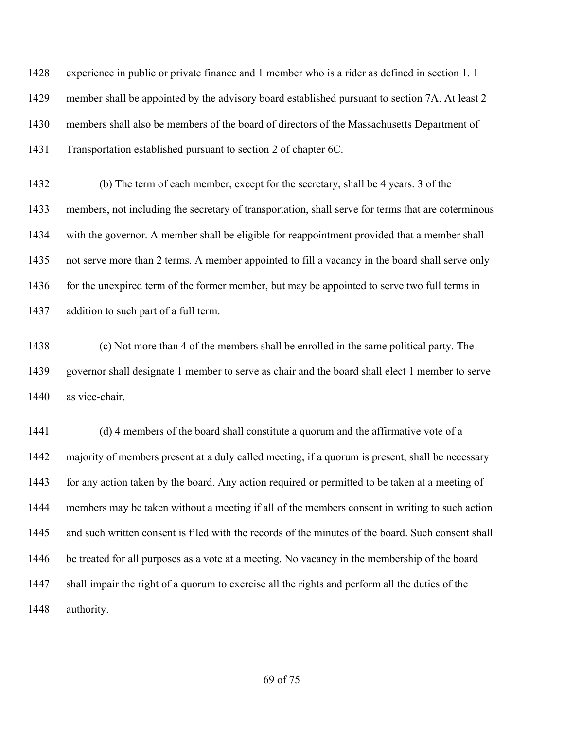experience in public or private finance and 1 member who is a rider as defined in section 1. 1 member shall be appointed by the advisory board established pursuant to section 7A. At least 2 members shall also be members of the board of directors of the Massachusetts Department of Transportation established pursuant to section 2 of chapter 6C.

 (b) The term of each member, except for the secretary, shall be 4 years. 3 of the members, not including the secretary of transportation, shall serve for terms that are coterminous with the governor. A member shall be eligible for reappointment provided that a member shall not serve more than 2 terms. A member appointed to fill a vacancy in the board shall serve only 1436 for the unexpired term of the former member, but may be appointed to serve two full terms in addition to such part of a full term.

 (c) Not more than 4 of the members shall be enrolled in the same political party. The governor shall designate 1 member to serve as chair and the board shall elect 1 member to serve as vice-chair.

 (d) 4 members of the board shall constitute a quorum and the affirmative vote of a majority of members present at a duly called meeting, if a quorum is present, shall be necessary 1443 for any action taken by the board. Any action required or permitted to be taken at a meeting of members may be taken without a meeting if all of the members consent in writing to such action and such written consent is filed with the records of the minutes of the board. Such consent shall be treated for all purposes as a vote at a meeting. No vacancy in the membership of the board shall impair the right of a quorum to exercise all the rights and perform all the duties of the authority.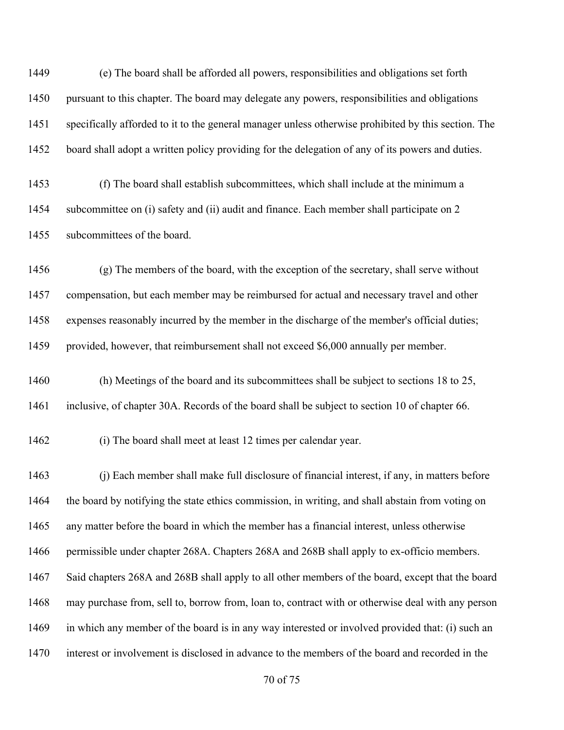(e) The board shall be afforded all powers, responsibilities and obligations set forth pursuant to this chapter. The board may delegate any powers, responsibilities and obligations specifically afforded to it to the general manager unless otherwise prohibited by this section. The board shall adopt a written policy providing for the delegation of any of its powers and duties.

 (f) The board shall establish subcommittees, which shall include at the minimum a subcommittee on (i) safety and (ii) audit and finance. Each member shall participate on 2 subcommittees of the board.

 (g) The members of the board, with the exception of the secretary, shall serve without compensation, but each member may be reimbursed for actual and necessary travel and other expenses reasonably incurred by the member in the discharge of the member's official duties; provided, however, that reimbursement shall not exceed \$6,000 annually per member.

 (h) Meetings of the board and its subcommittees shall be subject to sections 18 to 25, inclusive, of chapter 30A. Records of the board shall be subject to section 10 of chapter 66.

(i) The board shall meet at least 12 times per calendar year.

 (j) Each member shall make full disclosure of financial interest, if any, in matters before the board by notifying the state ethics commission, in writing, and shall abstain from voting on any matter before the board in which the member has a financial interest, unless otherwise permissible under chapter 268A. Chapters 268A and 268B shall apply to ex-officio members. Said chapters 268A and 268B shall apply to all other members of the board, except that the board may purchase from, sell to, borrow from, loan to, contract with or otherwise deal with any person in which any member of the board is in any way interested or involved provided that: (i) such an interest or involvement is disclosed in advance to the members of the board and recorded in the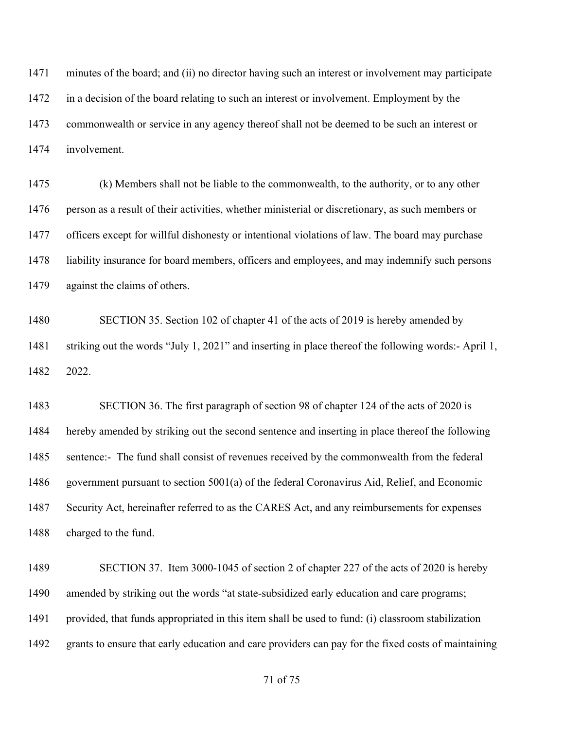minutes of the board; and (ii) no director having such an interest or involvement may participate in a decision of the board relating to such an interest or involvement. Employment by the commonwealth or service in any agency thereof shall not be deemed to be such an interest or involvement.

 (k) Members shall not be liable to the commonwealth, to the authority, or to any other person as a result of their activities, whether ministerial or discretionary, as such members or officers except for willful dishonesty or intentional violations of law. The board may purchase liability insurance for board members, officers and employees, and may indemnify such persons against the claims of others.

 SECTION 35. Section 102 of chapter 41 of the acts of 2019 is hereby amended by striking out the words "July 1, 2021" and inserting in place thereof the following words:- April 1, 2022.

 SECTION 36. The first paragraph of section 98 of chapter 124 of the acts of 2020 is hereby amended by striking out the second sentence and inserting in place thereof the following sentence:- The fund shall consist of revenues received by the commonwealth from the federal government pursuant to section 5001(a) of the federal Coronavirus Aid, Relief, and Economic Security Act, hereinafter referred to as the CARES Act, and any reimbursements for expenses charged to the fund.

 SECTION 37. Item 3000-1045 of section 2 of chapter 227 of the acts of 2020 is hereby amended by striking out the words "at state-subsidized early education and care programs; provided, that funds appropriated in this item shall be used to fund: (i) classroom stabilization grants to ensure that early education and care providers can pay for the fixed costs of maintaining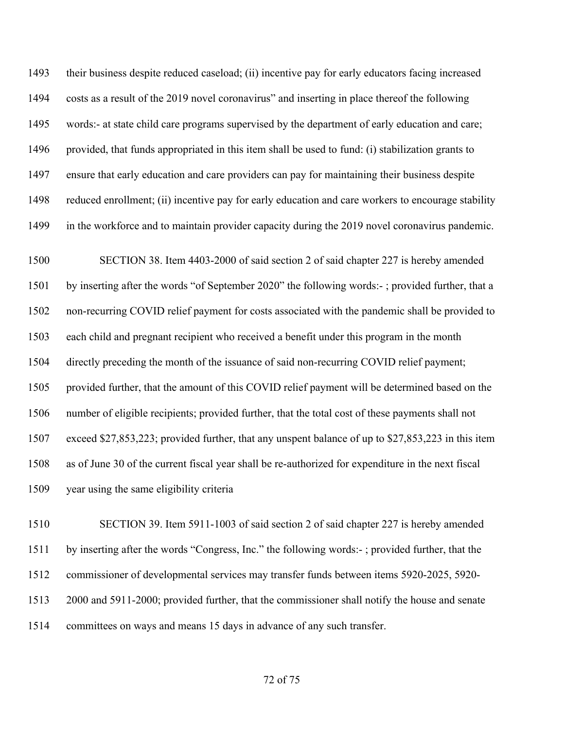their business despite reduced caseload; (ii) incentive pay for early educators facing increased costs as a result of the 2019 novel coronavirus" and inserting in place thereof the following words:- at state child care programs supervised by the department of early education and care; provided, that funds appropriated in this item shall be used to fund: (i) stabilization grants to ensure that early education and care providers can pay for maintaining their business despite reduced enrollment; (ii) incentive pay for early education and care workers to encourage stability in the workforce and to maintain provider capacity during the 2019 novel coronavirus pandemic.

 SECTION 38. Item 4403-2000 of said section 2 of said chapter 227 is hereby amended by inserting after the words "of September 2020" the following words:- ; provided further, that a non-recurring COVID relief payment for costs associated with the pandemic shall be provided to each child and pregnant recipient who received a benefit under this program in the month directly preceding the month of the issuance of said non-recurring COVID relief payment; provided further, that the amount of this COVID relief payment will be determined based on the number of eligible recipients; provided further, that the total cost of these payments shall not exceed \$27,853,223; provided further, that any unspent balance of up to \$27,853,223 in this item as of June 30 of the current fiscal year shall be re-authorized for expenditure in the next fiscal year using the same eligibility criteria

 SECTION 39. Item 5911-1003 of said section 2 of said chapter 227 is hereby amended by inserting after the words "Congress, Inc." the following words:- ; provided further, that the commissioner of developmental services may transfer funds between items 5920-2025, 5920- 2000 and 5911-2000; provided further, that the commissioner shall notify the house and senate committees on ways and means 15 days in advance of any such transfer.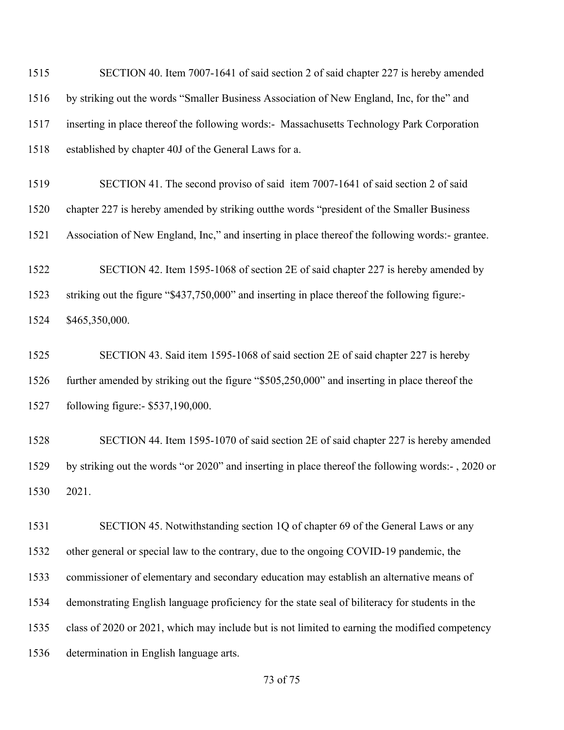SECTION 40. Item 7007-1641 of said section 2 of said chapter 227 is hereby amended by striking out the words "Smaller Business Association of New England, Inc, for the" and inserting in place thereof the following words:- Massachusetts Technology Park Corporation established by chapter 40J of the General Laws for a.

 SECTION 41. The second proviso of said item 7007-1641 of said section 2 of said chapter 227 is hereby amended by striking outthe words "president of the Smaller Business

Association of New England, Inc," and inserting in place thereof the following words:- grantee.

 SECTION 42. Item 1595-1068 of section 2E of said chapter 227 is hereby amended by striking out the figure "\$437,750,000" and inserting in place thereof the following figure:- \$465,350,000.

 SECTION 43. Said item 1595-1068 of said section 2E of said chapter 227 is hereby further amended by striking out the figure "\$505,250,000" and inserting in place thereof the following figure:- \$537,190,000.

 SECTION 44. Item 1595-1070 of said section 2E of said chapter 227 is hereby amended by striking out the words "or 2020" and inserting in place thereof the following words:- , 2020 or 2021.

 SECTION 45. Notwithstanding section 1Q of chapter 69 of the General Laws or any other general or special law to the contrary, due to the ongoing COVID-19 pandemic, the commissioner of elementary and secondary education may establish an alternative means of demonstrating English language proficiency for the state seal of biliteracy for students in the class of 2020 or 2021, which may include but is not limited to earning the modified competency determination in English language arts.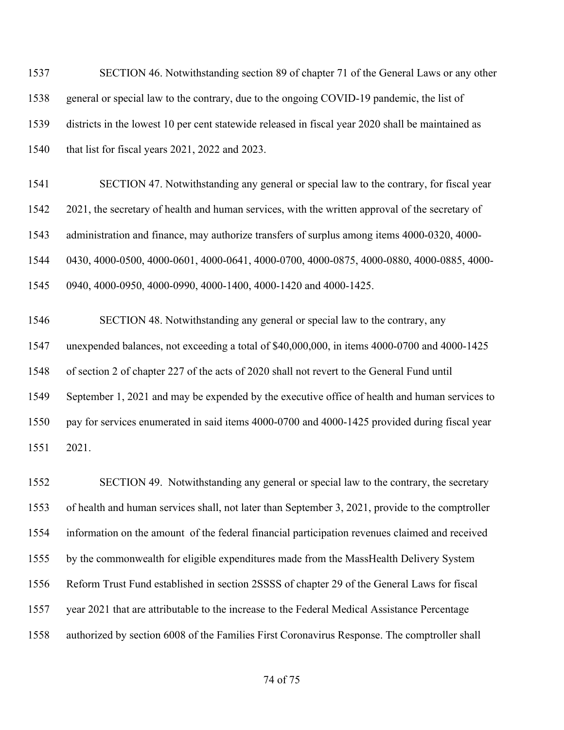SECTION 46. Notwithstanding section 89 of chapter 71 of the General Laws or any other general or special law to the contrary, due to the ongoing COVID-19 pandemic, the list of districts in the lowest 10 per cent statewide released in fiscal year 2020 shall be maintained as that list for fiscal years 2021, 2022 and 2023.

 SECTION 47. Notwithstanding any general or special law to the contrary, for fiscal year 2021, the secretary of health and human services, with the written approval of the secretary of administration and finance, may authorize transfers of surplus among items 4000-0320, 4000- 0430, 4000-0500, 4000-0601, 4000-0641, 4000-0700, 4000-0875, 4000-0880, 4000-0885, 4000- 0940, 4000-0950, 4000-0990, 4000-1400, 4000-1420 and 4000-1425.

 SECTION 48. Notwithstanding any general or special law to the contrary, any unexpended balances, not exceeding a total of \$40,000,000, in items 4000-0700 and 4000-1425 of section 2 of chapter 227 of the acts of 2020 shall not revert to the General Fund until September 1, 2021 and may be expended by the executive office of health and human services to pay for services enumerated in said items 4000-0700 and 4000-1425 provided during fiscal year 2021.

 SECTION 49. Notwithstanding any general or special law to the contrary, the secretary of health and human services shall, not later than September 3, 2021, provide to the comptroller information on the amount of the federal financial participation revenues claimed and received by the commonwealth for eligible expenditures made from the MassHealth Delivery System Reform Trust Fund established in section 2SSSS of chapter 29 of the General Laws for fiscal year 2021 that are attributable to the increase to the Federal Medical Assistance Percentage authorized by section 6008 of the Families First Coronavirus Response. The comptroller shall